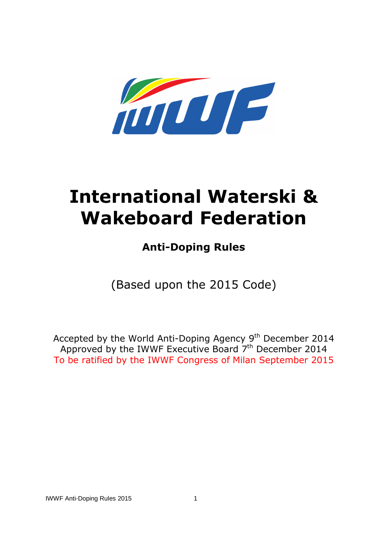

# **International Waterski & Wakeboard Federation**

# **Anti-Doping Rules**

(Based upon the 2015 Code)

Accepted by the World Anti-Doping Agency 9<sup>th</sup> December 2014 Approved by the IWWF Executive Board  $7<sup>th</sup>$  December 2014 To be ratified by the IWWF Congress of Milan September 2015

IWWF Anti-Doping Rules 2015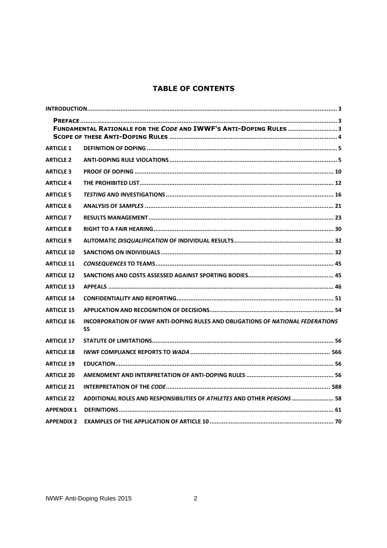# **TABLE OF CONTENTS**

|                   | FUNDAMENTAL RATIONALE FOR THE CODE AND IWWF'S ANTI-DOPING RULES  3                           |
|-------------------|----------------------------------------------------------------------------------------------|
| <b>ARTICLE 1</b>  |                                                                                              |
| <b>ARTICLE 2</b>  |                                                                                              |
| <b>ARTICLE 3</b>  |                                                                                              |
| <b>ARTICLE 4</b>  |                                                                                              |
| <b>ARTICLE 5</b>  |                                                                                              |
| <b>ARTICLE 6</b>  |                                                                                              |
| <b>ARTICLE 7</b>  |                                                                                              |
| <b>ARTICLE 8</b>  |                                                                                              |
| <b>ARTICLE 9</b>  |                                                                                              |
| <b>ARTICLE 10</b> |                                                                                              |
| <b>ARTICLE 11</b> |                                                                                              |
| <b>ARTICLE 12</b> |                                                                                              |
| <b>ARTICLE 13</b> |                                                                                              |
| <b>ARTICLE 14</b> |                                                                                              |
| <b>ARTICLE 15</b> |                                                                                              |
| <b>ARTICLE 16</b> | <b>INCORPORATION OF IWWF ANTI-DOPING RULES AND OBLIGATIONS OF NATIONAL FEDERATIONS</b><br>55 |
| <b>ARTICLE 17</b> |                                                                                              |
| <b>ARTICLE 18</b> |                                                                                              |
| <b>ARTICLE 19</b> |                                                                                              |
| <b>ARTICLE 20</b> |                                                                                              |
| <b>ARTICLE 21</b> |                                                                                              |
| <b>ARTICLE 22</b> | ADDITIONAL ROLES AND RESPONSIBILITIES OF ATHLETES AND OTHER PERSONS  58                      |
| <b>APPENDIX 1</b> |                                                                                              |
| <b>APPENDIX 2</b> |                                                                                              |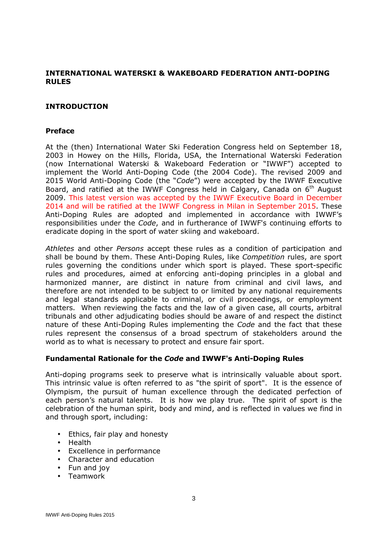#### **INTERNATIONAL WATERSKI & WAKEBOARD FEDERATION ANTI-DOPING RULES**

#### **INTRODUCTION**

#### **Preface**

At the (then) International Water Ski Federation Congress held on September 18, 2003 in Howey on the Hills, Florida, USA, the International Waterski Federation (now International Waterski & Wakeboard Federation or "IWWF") accepted to implement the World Anti-Doping Code (the 2004 Code). The revised 2009 and 2015 World Anti-Doping Code (the "*Code*") were accepted by the IWWF Executive Board, and ratified at the IWWF Congress held in Calgary, Canada on 6<sup>th</sup> August 2009. This latest version was accepted by the IWWF Executive Board in December 2014 and will be ratified at the IWWF Congress in Milan in September 2015. These Anti-Doping Rules are adopted and implemented in accordance with IWWF's responsibilities under the *Code*, and in furtherance of IWWF's continuing efforts to eradicate doping in the sport of water skiing and wakeboard.

*Athletes* and other *Persons* accept these rules as a condition of participation and shall be bound by them. These Anti-Doping Rules, like *Competition* rules, are sport rules governing the conditions under which sport is played. These sport-specific rules and procedures, aimed at enforcing anti-doping principles in a global and harmonized manner, are distinct in nature from criminal and civil laws, and therefore are not intended to be subject to or limited by any national requirements and legal standards applicable to criminal, or civil proceedings, or employment matters. When reviewing the facts and the law of a given case, all courts, arbitral tribunals and other adjudicating bodies should be aware of and respect the distinct nature of these Anti-Doping Rules implementing the *Code* and the fact that these rules represent the consensus of a broad spectrum of stakeholders around the world as to what is necessary to protect and ensure fair sport.

#### **Fundamental Rationale for the** *Code* **and IWWF's Anti-Doping Rules**

Anti-doping programs seek to preserve what is intrinsically valuable about sport. This intrinsic value is often referred to as "the spirit of sport". It is the essence of Olympism, the pursuit of human excellence through the dedicated perfection of each person's natural talents. It is how we play true. The spirit of sport is the celebration of the human spirit, body and mind, and is reflected in values we find in and through sport, including:

3

- Ethics, fair play and honesty
- Health
- Excellence in performance
- Character and education
- Fun and joy
- Teamwork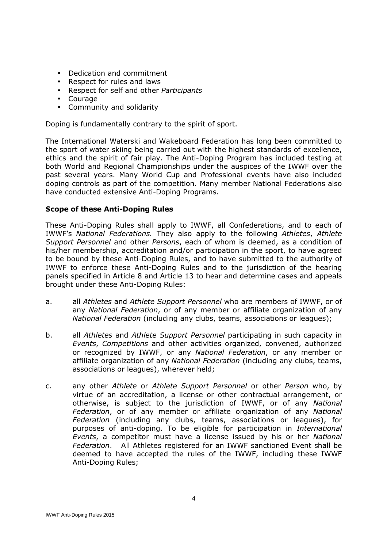- Dedication and commitment
- Respect for rules and laws
- Respect for self and other *Participants*
- Courage
- Community and solidarity

Doping is fundamentally contrary to the spirit of sport.

The International Waterski and Wakeboard Federation has long been committed to the sport of water skiing being carried out with the highest standards of excellence, ethics and the spirit of fair play. The Anti-Doping Program has included testing at both World and Regional Championships under the auspices of the IWWF over the past several years. Many World Cup and Professional events have also included doping controls as part of the competition. Many member National Federations also have conducted extensive Anti-Doping Programs.

#### **Scope of these Anti-Doping Rules**

These Anti-Doping Rules shall apply to IWWF, all Confederations, and to each of IWWF's *National Federations.* They also apply to the following *Athletes*, *Athlete Support Personnel* and other *Persons*, each of whom is deemed, as a condition of his/her membership, accreditation and/or participation in the sport, to have agreed to be bound by these Anti-Doping Rules, and to have submitted to the authority of IWWF to enforce these Anti-Doping Rules and to the jurisdiction of the hearing panels specified in Article 8 and Article 13 to hear and determine cases and appeals brought under these Anti-Doping Rules:

- a. all *Athletes* and *Athlete Support Personnel* who are members of IWWF, or of any *National Federation*, or of any member or affiliate organization of any *National Federation* (including any clubs, teams, associations or leagues);
- b. all *Athletes* and *Athlete Support Personnel* participating in such capacity in *Events*, *Competitions* and other activities organized, convened, authorized or recognized by IWWF, or any *National Federation*, or any member or affiliate organization of any *National Federation* (including any clubs, teams, associations or leagues), wherever held;
- c. any other *Athlete* or *Athlete Support Personnel* or other *Person* who, by virtue of an accreditation, a license or other contractual arrangement, or otherwise, is subject to the jurisdiction of IWWF, or of any *National Federation*, or of any member or affiliate organization of any *National Federation* (including any clubs, teams, associations or leagues), for purposes of anti-doping. To be eligible for participation in *International Events*, a competitor must have a license issued by his or her *National Federation*. All Athletes registered for an IWWF sanctioned Event shall be deemed to have accepted the rules of the IWWF, including these IWWF Anti-Doping Rules;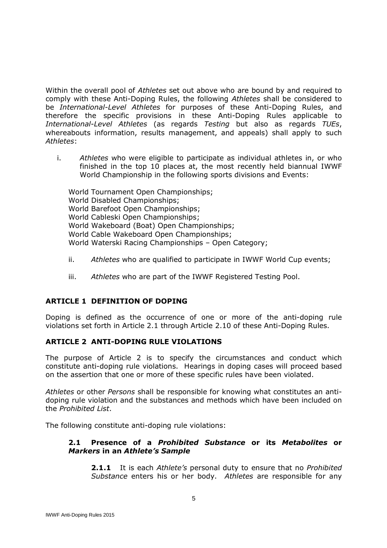Within the overall pool of *Athletes* set out above who are bound by and required to comply with these Anti-Doping Rules, the following *Athletes* shall be considered to be *International-Level Athletes* for purposes of these Anti-Doping Rules, and therefore the specific provisions in these Anti-Doping Rules applicable to *International-Level Athletes* (as regards *Testing* but also as regards *TUEs*, whereabouts information, results management, and appeals) shall apply to such *Athletes*:

i. *Athletes* who were eligible to participate as individual athletes in, or who finished in the top 10 places at, the most recently held biannual IWWF World Championship in the following sports divisions and Events:

World Tournament Open Championships; World Disabled Championships; World Barefoot Open Championships; World Cableski Open Championships; World Wakeboard (Boat) Open Championships; World Cable Wakeboard Open Championships; World Waterski Racing Championships – Open Category;

- ii. *Athletes* who are qualified to participate in IWWF World Cup events;
- iii. *Athletes* who are part of the IWWF Registered Testing Pool.

# **ARTICLE 1 DEFINITION OF DOPING**

Doping is defined as the occurrence of one or more of the anti-doping rule violations set forth in Article 2.1 through Article 2.10 of these Anti-Doping Rules.

# **ARTICLE 2 ANTI-DOPING RULE VIOLATIONS**

The purpose of Article 2 is to specify the circumstances and conduct which constitute anti-doping rule violations. Hearings in doping cases will proceed based on the assertion that one or more of these specific rules have been violated.

*Athletes* or other *Persons* shall be responsible for knowing what constitutes an antidoping rule violation and the substances and methods which have been included on the *Prohibited List*.

The following constitute anti-doping rule violations:

#### **2.1 Presence of a** *Prohibited Substance* **or its** *Metabolites* **or**  *Markers* **in an** *Athlete's Sample*

**2.1.1** It is each *Athlete's* personal duty to ensure that no *Prohibited Substance* enters his or her body. *Athletes* are responsible for any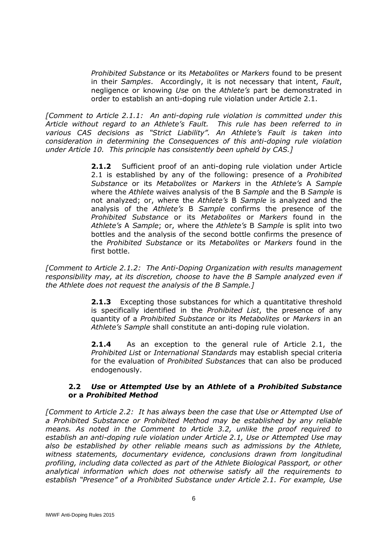*Prohibited Substance* or its *Metabolites* or *Markers* found to be present in their *Samples*. Accordingly, it is not necessary that intent, *Fault*, negligence or knowing *Use* on the *Athlete's* part be demonstrated in order to establish an anti-doping rule violation under Article 2.1.

*[Comment to Article 2.1.1: An anti-doping rule violation is committed under this Article without regard to an Athlete's Fault. This rule has been referred to in various CAS decisions as "Strict Liability". An Athlete's Fault is taken into consideration in determining the Consequences of this anti-doping rule violation under Article 10. This principle has consistently been upheld by CAS.]*

> **2.1.2** Sufficient proof of an anti-doping rule violation under Article 2.1 is established by any of the following: presence of a *Prohibited Substance* or its *Metabolites* or *Markers* in the *Athlete's* A *Sample* where the *Athlete* waives analysis of the B *Sample* and the B *Sample* is not analyzed; or, where the *Athlete's* B *Sample* is analyzed and the analysis of the *Athlete's* B *Sample* confirms the presence of the *Prohibited Substance* or its *Metabolites* or *Markers* found in the *Athlete's* A *Sample*; or, where the *Athlete's* B *Sample* is split into two bottles and the analysis of the second bottle confirms the presence of the *Prohibited Substance* or its *Metabolites* or *Markers* found in the first bottle.

*[Comment to Article 2.1.2: The Anti-Doping Organization with results management responsibility may, at its discretion, choose to have the B Sample analyzed even if the Athlete does not request the analysis of the B Sample.]* 

> **2.1.3** Excepting those substances for which a quantitative threshold is specifically identified in the *Prohibited List*, the presence of any quantity of a *Prohibited Substance* or its *Metabolites* or *Markers* in an *Athlete's Sample* shall constitute an anti-doping rule violation.

> **2.1.4** As an exception to the general rule of Article 2.1, the *Prohibited List* or *International Standards* may establish special criteria for the evaluation of *Prohibited Substances* that can also be produced endogenously.

# **2.2** *Use* **or** *Attempted Use* **by an** *Athlete* **of a** *Prohibited Substance* **or a** *Prohibited Method*

*[Comment to Article 2.2: It has always been the case that Use or Attempted Use of a Prohibited Substance or Prohibited Method may be established by any reliable means. As noted in the Comment to Article 3.2, unlike the proof required to establish an anti-doping rule violation under Article 2.1, Use or Attempted Use may also be established by other reliable means such as admissions by the Athlete, witness statements, documentary evidence, conclusions drawn from longitudinal profiling, including data collected as part of the Athlete Biological Passport, or other analytical information which does not otherwise satisfy all the requirements to establish "Presence" of a Prohibited Substance under Article 2.1. For example, Use*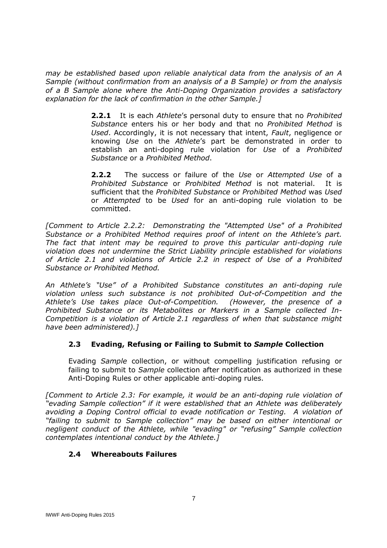*may be established based upon reliable analytical data from the analysis of an A Sample (without confirmation from an analysis of a B Sample) or from the analysis of a B Sample alone where the Anti-Doping Organization provides a satisfactory explanation for the lack of confirmation in the other Sample.]* 

> **2.2.1** It is each *Athlete*'s personal duty to ensure that no *Prohibited Substance* enters his or her body and that no *Prohibited Method* is *Used*. Accordingly, it is not necessary that intent, *Fault*, negligence or knowing *Use* on the *Athlete*'s part be demonstrated in order to establish an anti-doping rule violation for *Use* of a *Prohibited Substance* or a *Prohibited Method*.

> **2.2.2** The success or failure of the *Use* or *Attempted Use* of a *Prohibited Substance* or *Prohibited Method* is not material. It is sufficient that the *Prohibited Substance* or *Prohibited Method* was *Used* or *Attempted* to be *Used* for an anti-doping rule violation to be committed.

*[Comment to Article 2.2.2: Demonstrating the "Attempted Use" of a Prohibited Substance or a Prohibited Method requires proof of intent on the Athlete's part. The fact that intent may be required to prove this particular anti-doping rule violation does not undermine the Strict Liability principle established for violations of Article 2.1 and violations of Article 2.2 in respect of Use of a Prohibited Substance or Prohibited Method.* 

*An Athlete's "Use" of a Prohibited Substance constitutes an anti-doping rule violation unless such substance is not prohibited Out-of-Competition and the Athlete's Use takes place Out-of-Competition. (However, the presence of a Prohibited Substance or its Metabolites or Markers in a Sample collected In-Competition is a violation of Article 2.1 regardless of when that substance might have been administered).]* 

# **2.3 Evading, Refusing or Failing to Submit to** *Sample* **Collection**

Evading *Sample* collection, or without compelling justification refusing or failing to submit to *Sample* collection after notification as authorized in these Anti-Doping Rules or other applicable anti-doping rules.

*[Comment to Article 2.3: For example, it would be an anti-doping rule violation of "evading Sample collection" if it were established that an Athlete was deliberately avoiding a Doping Control official to evade notification or Testing. A violation of "failing to submit to Sample collection" may be based on either intentional or negligent conduct of the Athlete, while "evading" or "refusing" Sample collection contemplates intentional conduct by the Athlete.]* 

# **2.4 Whereabouts Failures**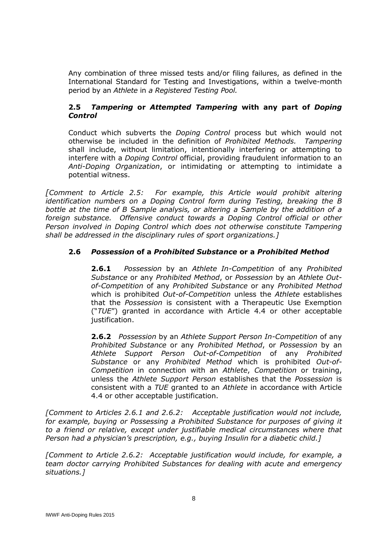Any combination of three missed tests and/or filing failures, as defined in the International Standard for Testing and Investigations, within a twelve-month period by an *Athlete* in *a Registered Testing Pool.* 

# **2.5** *Tampering* **or** *Attempted Tampering* **with any part of** *Doping Control*

Conduct which subverts the *Doping Control* process but which would not otherwise be included in the definition of *Prohibited Methods. Tampering*  shall include, without limitation, intentionally interfering or attempting to interfere with a *Doping Control* official, providing fraudulent information to an *Anti-Doping Organization*, or intimidating or attempting to intimidate a potential witness.

*[Comment to Article 2.5: For example, this Article would prohibit altering identification numbers on a Doping Control form during Testing, breaking the B bottle at the time of B Sample analysis, or altering a Sample by the addition of a foreign substance. Offensive conduct towards a Doping Control official or other Person involved in Doping Control which does not otherwise constitute Tampering shall be addressed in the disciplinary rules of sport organizations.]* 

# **2.6** *Possession* **of a** *Prohibited Substance* **or a** *Prohibited Method*

**2.6.1** *Possession* by an *Athlete In-Competition* of any *Prohibited Substance* or any *Prohibited Method*, or *Possession* by an *Athlete Outof-Competition* of any *Prohibited Substance* or any *Prohibited Method*  which is prohibited *Out-of-Competition* unless the *Athlete* establishes that the *Possession* is consistent with a Therapeutic Use Exemption ("*TUE*") granted in accordance with Article 4.4 or other acceptable justification.

**2.6.2** *Possession* by an *Athlete Support Person In-Competition* of any *Prohibited Substance* or any *Prohibited Method*, or *Possession* by an *Athlete Support Person Out-of-Competition* of any *Prohibited Substance* or any *Prohibited Method* which is prohibited *Out-of-Competition* in connection with an *Athlete*, *Competition* or training, unless the *Athlete Support Person* establishes that the *Possession* is consistent with a *TUE* granted to an *Athlete* in accordance with Article 4.4 or other acceptable justification.

*[Comment to Articles 2.6.1 and 2.6.2: Acceptable justification would not include, for example, buying or Possessing a Prohibited Substance for purposes of giving it to a friend or relative, except under justifiable medical circumstances where that Person had a physician's prescription, e.g., buying Insulin for a diabetic child.]* 

*[Comment to Article 2.6.2: Acceptable justification would include, for example, a team doctor carrying Prohibited Substances for dealing with acute and emergency situations.]*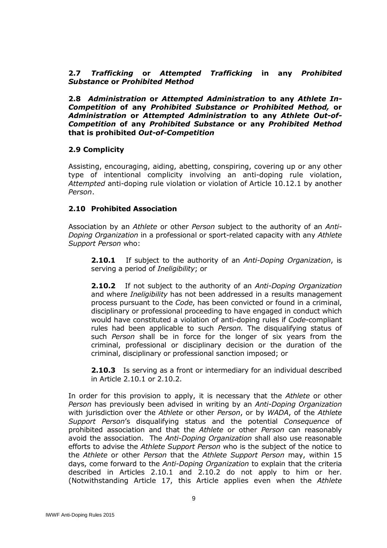# **2.7** *Trafficking* **or** *Attempted Trafficking* **in any** *Prohibited Substance* **or** *Prohibited Method*

**2.8** *Administration* **or** *Attempted Administration* **to any** *Athlete In-Competition* **of any** *Prohibited Substance or Prohibited Method,* **or**  *Administration* **or** *Attempted Administration* **to any** *Athlete Out-of-Competition* **of any** *Prohibited Substance* **or any** *Prohibited Method*  **that is prohibited** *Out-of-Competition* 

# **2.9 Complicity**

Assisting, encouraging, aiding, abetting, conspiring, covering up or any other type of intentional complicity involving an anti-doping rule violation, *Attempted* anti-doping rule violation or violation of Article 10.12.1 by another *Person*.

# **2.10 Prohibited Association**

Association by an *Athlete* or other *Person* subject to the authority of an *Anti-Doping Organization* in a professional or sport-related capacity with any *Athlete Support Person* who:

**2.10.1** If subject to the authority of an *Anti-Doping Organization*, is serving a period of *Ineligibility*; or

**2.10.2** If not subject to the authority of an *Anti-Doping Organization* and where *Ineligibility* has not been addressed in a results management process pursuant to the *Code*, has been convicted or found in a criminal, disciplinary or professional proceeding to have engaged in conduct which would have constituted a violation of anti-doping rules if *Code*-compliant rules had been applicable to such *Person.* The disqualifying status of such *Person* shall be in force for the longer of six years from the criminal, professional or disciplinary decision or the duration of the criminal, disciplinary or professional sanction imposed; or

**2.10.3** Is serving as a front or intermediary for an individual described in Article 2.10.1 or 2.10.2.

In order for this provision to apply, it is necessary that the *Athlete* or other *Person* has previously been advised in writing by an *Anti-Doping Organization* with jurisdiction over the *Athlete* or other *Person*, or by *WADA*, of the *Athlete Support Person*'s disqualifying status and the potential *Consequence* of prohibited association and that the *Athlete* or other *Person* can reasonably avoid the association. The *Anti-Doping Organization* shall also use reasonable efforts to advise the *Athlete Support Person* who is the subject of the notice to the *Athlete* or other *Person* that the *Athlete Support Person* may, within 15 days, come forward to the *Anti-Doping Organization* to explain that the criteria described in Articles 2.10.1 and 2.10.2 do not apply to him or her. (Notwithstanding Article 17, this Article applies even when the *Athlete*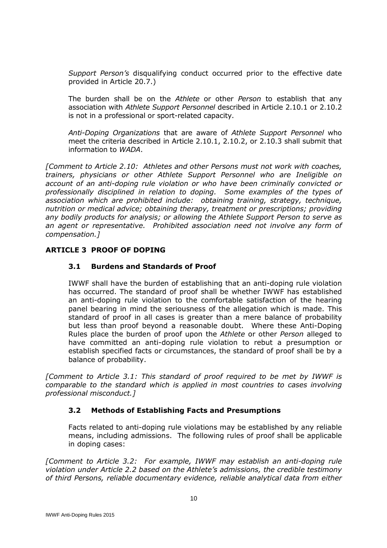*Support Person's* disqualifying conduct occurred prior to the effective date provided in Article 20.7.)

The burden shall be on the *Athlete* or other *Person* to establish that any association with *Athlete Support Personnel* described in Article 2.10.1 or 2.10.2 is not in a professional or sport-related capacity.

*Anti-Doping Organizations* that are aware of *Athlete Support Personnel* who meet the criteria described in Article 2.10.1, 2.10.2, or 2.10.3 shall submit that information to *WADA*.

*[Comment to Article 2.10: Athletes and other Persons must not work with coaches, trainers, physicians or other Athlete Support Personnel who are Ineligible on account of an anti-doping rule violation or who have been criminally convicted or professionally disciplined in relation to doping. Some examples of the types of association which are prohibited include: obtaining training, strategy, technique, nutrition or medical advice; obtaining therapy, treatment or prescriptions; providing any bodily products for analysis; or allowing the Athlete Support Person to serve as an agent or representative. Prohibited association need not involve any form of compensation.]* 

# **ARTICLE 3 PROOF OF DOPING**

# **3.1 Burdens and Standards of Proof**

IWWF shall have the burden of establishing that an anti-doping rule violation has occurred. The standard of proof shall be whether IWWF has established an anti-doping rule violation to the comfortable satisfaction of the hearing panel bearing in mind the seriousness of the allegation which is made. This standard of proof in all cases is greater than a mere balance of probability but less than proof beyond a reasonable doubt. Where these Anti-Doping Rules place the burden of proof upon the *Athlete* or other *Person* alleged to have committed an anti-doping rule violation to rebut a presumption or establish specified facts or circumstances, the standard of proof shall be by a balance of probability.

*[Comment to Article 3.1: This standard of proof required to be met by IWWF is comparable to the standard which is applied in most countries to cases involving professional misconduct.]* 

# **3.2 Methods of Establishing Facts and Presumptions**

Facts related to anti-doping rule violations may be established by any reliable means, including admissions. The following rules of proof shall be applicable in doping cases:

*[Comment to Article 3.2: For example, IWWF may establish an anti-doping rule violation under Article 2.2 based on the Athlete's admissions, the credible testimony of third Persons, reliable documentary evidence, reliable analytical data from either*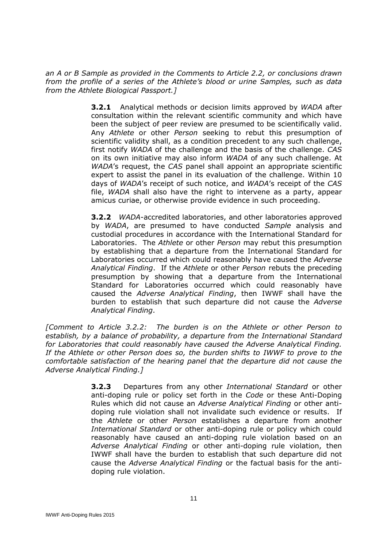*an A or B Sample as provided in the Comments to Article 2.2, or conclusions drawn from the profile of a series of the Athlete's blood or urine Samples, such as data from the Athlete Biological Passport.]* 

> **3.2.1** Analytical methods or decision limits approved by *WADA* after consultation within the relevant scientific community and which have been the subject of peer review are presumed to be scientifically valid. Any *Athlete* or other *Person* seeking to rebut this presumption of scientific validity shall, as a condition precedent to any such challenge, first notify *WADA* of the challenge and the basis of the challenge. *CAS* on its own initiative may also inform *WADA* of any such challenge. At *WADA*'s request, the *CAS* panel shall appoint an appropriate scientific expert to assist the panel in its evaluation of the challenge. Within 10 days of *WADA*'s receipt of such notice, and *WADA*'s receipt of the *CAS* file, *WADA* shall also have the right to intervene as a party, appear amicus curiae, or otherwise provide evidence in such proceeding.

> **3.2.2** *WADA*-accredited laboratories, and other laboratories approved by *WADA*, are presumed to have conducted *Sample* analysis and custodial procedures in accordance with the International Standard for Laboratories. The *Athlete* or other *Person* may rebut this presumption by establishing that a departure from the International Standard for Laboratories occurred which could reasonably have caused the *Adverse Analytical Finding*. If the *Athlete* or other *Person* rebuts the preceding presumption by showing that a departure from the International Standard for Laboratories occurred which could reasonably have caused the *Adverse Analytical Finding*, then IWWF shall have the burden to establish that such departure did not cause the *Adverse Analytical Finding*.

*[Comment to Article 3.2.2: The burden is on the Athlete or other Person to establish, by a balance of probability, a departure from the International Standard for Laboratories that could reasonably have caused the Adverse Analytical Finding. If the Athlete or other Person does so, the burden shifts to IWWF to prove to the comfortable satisfaction of the hearing panel that the departure did not cause the Adverse Analytical Finding.]* 

> **3.2.3** Departures from any other *International Standard* or other anti-doping rule or policy set forth in the *Code* or these Anti-Doping Rules which did not cause an *Adverse Analytical Finding* or other antidoping rule violation shall not invalidate such evidence or results. If the *Athlete* or other *Person* establishes a departure from another *International Standard* or other anti-doping rule or policy which could reasonably have caused an anti-doping rule violation based on an *Adverse Analytical Finding* or other anti-doping rule violation, then IWWF shall have the burden to establish that such departure did not cause the *Adverse Analytical Finding* or the factual basis for the antidoping rule violation.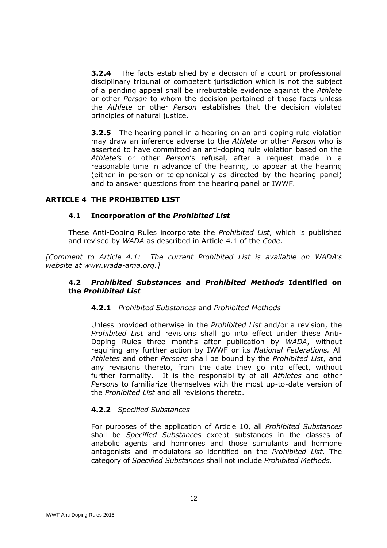**3.2.4** The facts established by a decision of a court or professional disciplinary tribunal of competent jurisdiction which is not the subject of a pending appeal shall be irrebuttable evidence against the *Athlete* or other *Person* to whom the decision pertained of those facts unless the *Athlete* or other *Person* establishes that the decision violated principles of natural justice.

**3.2.5** The hearing panel in a hearing on an anti-doping rule violation may draw an inference adverse to the *Athlete* or other *Person* who is asserted to have committed an anti-doping rule violation based on the *Athlete's* or other *Person*'s refusal, after a request made in a reasonable time in advance of the hearing, to appear at the hearing (either in person or telephonically as directed by the hearing panel) and to answer questions from the hearing panel or IWWF.

# **ARTICLE 4 THE PROHIBITED LIST**

# **4.1 Incorporation of the** *Prohibited List*

These Anti-Doping Rules incorporate the *Prohibited List*, which is published and revised by *WADA* as described in Article 4.1 of the *Code*.

*[Comment to Article 4.1: The current Prohibited List is available on WADA's website at www.wada-ama.org.]* 

# **4.2** *Prohibited Substances* **and** *Prohibited Methods* **Identified on the** *Prohibited List*

#### **4.2.1** *Prohibited Substances* and *Prohibited Methods*

Unless provided otherwise in the *Prohibited List* and/or a revision, the *Prohibited List* and revisions shall go into effect under these Anti-Doping Rules three months after publication by *WADA*, without requiring any further action by IWWF or its *National Federations.* All *Athletes* and other *Persons* shall be bound by the *Prohibited List*, and any revisions thereto, from the date they go into effect, without further formality. It is the responsibility of all *Athletes* and other *Persons* to familiarize themselves with the most up-to-date version of the *Prohibited List* and all revisions thereto.

# **4.2.2** *Specified Substances*

For purposes of the application of Article 10, all *Prohibited Substances* shall be *Specified Substances* except substances in the classes of anabolic agents and hormones and those stimulants and hormone antagonists and modulators so identified on the *Prohibited List*. The category of *Specified Substances* shall not include *Prohibited Methods*.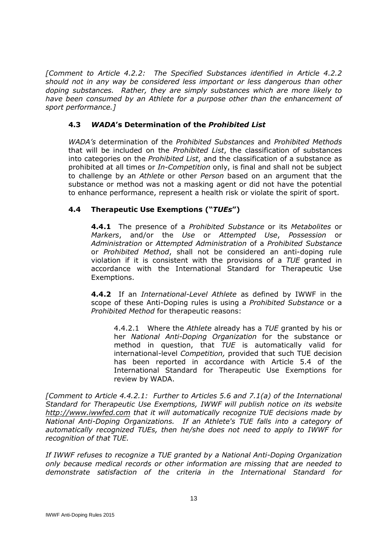*[Comment to Article 4.2.2: The Specified Substances identified in Article 4.2.2 should not in any way be considered less important or less dangerous than other doping substances. Rather, they are simply substances which are more likely to have been consumed by an Athlete for a purpose other than the enhancement of sport performance.]*

# **4.3** *WADA***'s Determination of the** *Prohibited List*

*WADA's* determination of the *Prohibited Substances* and *Prohibited Methods* that will be included on the *Prohibited List*, the classification of substances into categories on the *Prohibited List*, and the classification of a substance as prohibited at all times or *In-Competition* only, is final and shall not be subject to challenge by an *Athlete* or other *Person* based on an argument that the substance or method was not a masking agent or did not have the potential to enhance performance, represent a health risk or violate the spirit of sport.

# **4.4 Therapeutic Use Exemptions ("***TUEs***")**

**4.4.1** The presence of a *Prohibited Substance* or its *Metabolites* or *Markers*, and/or the *Use* or *Attempted Use*, *Possession* or *Administration* or *Attempted Administration* of a *Prohibited Substance* or *Prohibited Method*, shall not be considered an anti-doping rule violation if it is consistent with the provisions of a *TUE* granted in accordance with the International Standard for Therapeutic Use Exemptions.

**4.4.2** If an *International-Level Athlete* as defined by IWWF in the scope of these Anti-Doping rules is using a *Prohibited Substance* or a *Prohibited Method* for therapeutic reasons:

4.4.2.1 Where the *Athlete* already has a *TUE* granted by his or her *National Anti-Doping Organization* for the substance or method in question, that *TUE* is automatically valid for international-level *Competition,* provided that such TUE decision has been reported in accordance with Article 5.4 of the International Standard for Therapeutic Use Exemptions for review by WADA.

*[Comment to Article 4.4.2.1: Further to Articles 5.6 and 7.1(a) of the International Standard for Therapeutic Use Exemptions, IWWF will publish notice on its website http://www.iwwfed.com that it will automatically recognize TUE decisions made by National Anti-Doping Organizations. If an Athlete's TUE falls into a category of automatically recognized TUEs, then he/she does not need to apply to IWWF for recognition of that TUE.* 

*If IWWF refuses to recognize a TUE granted by a National Anti-Doping Organization only because medical records or other information are missing that are needed to demonstrate satisfaction of the criteria in the International Standard for*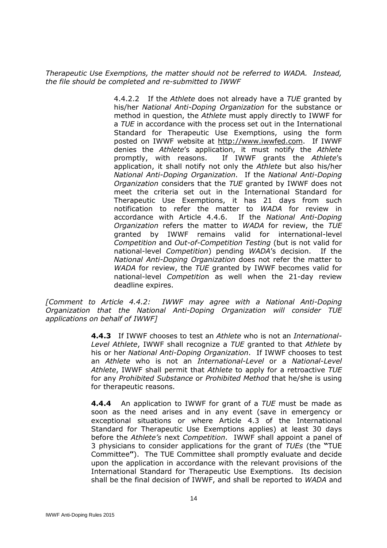*Therapeutic Use Exemptions, the matter should not be referred to WADA. Instead, the file should be completed and re-submitted to IWWF* 

> 4.4.2.2 If the *Athlete* does not already have a *TUE* granted by his/her *National Anti-Doping Organization* for the substance or method in question, the *Athlete* must apply directly to IWWF for a *TUE* in accordance with the process set out in the International Standard for Therapeutic Use Exemptions, using the form posted on IWWF website at http://www.iwwfed.com. If IWWF denies the *Athlete*'s application, it must notify the *Athlete* promptly, with reasons. If IWWF grants the *Athlete*'s application, it shall notify not only the *Athlete* but also his/her *National Anti-Doping Organization*. If the *National Anti-Doping Organization* considers that the *TUE* granted by IWWF does not meet the criteria set out in the International Standard for Therapeutic Use Exemptions, it has 21 days from such notification to refer the matter to *WADA* for review in accordance with Article 4.4.6. If the *National Anti-Doping Organization* refers the matter to *WADA* for review, the *TUE* granted by IWWF remains valid for international-level *Competition* and *Out-of-Competition Testing* (but is not valid for national-level *Competition*) pending *WADA*'s decision. If the *National Anti-Doping Organization* does not refer the matter to *WADA* for review, the *TUE* granted by IWWF becomes valid for national-level *Competitio*n as well when the 21-day review deadline expires.

*[Comment to Article 4.4.2: IWWF may agree with a National Anti-Doping Organization that the National Anti-Doping Organization will consider TUE applications on behalf of IWWF]* 

> **4.4.3** If IWWF chooses to test an *Athlete* who is not an *International-Level Athlete*, IWWF shall recognize a *TUE* granted to that *Athlete* by his or her *National Anti-Doping Organization*. If IWWF chooses to test an *Athlete* who is not an *International-Level* or a *National-Level Athlete*, IWWF shall permit that *Athlete* to apply for a retroactive *TUE*  for any *Prohibited Substance* or *Prohibited Method* that he/she is using for therapeutic reasons.

> **4.4.4** An application to IWWF for grant of a *TUE* must be made as soon as the need arises and in any event (save in emergency or exceptional situations or where Article 4.3 of the International Standard for Therapeutic Use Exemptions applies) at least 30 days before the *Athlete's* next *Competition*. IWWF shall appoint a panel of 3 physicians to consider applications for the grant of *TUEs* (the **"**TUE Committee**"**). The TUE Committee shall promptly evaluate and decide upon the application in accordance with the relevant provisions of the International Standard for Therapeutic Use Exemptions. Its decision shall be the final decision of IWWF, and shall be reported to *WADA* and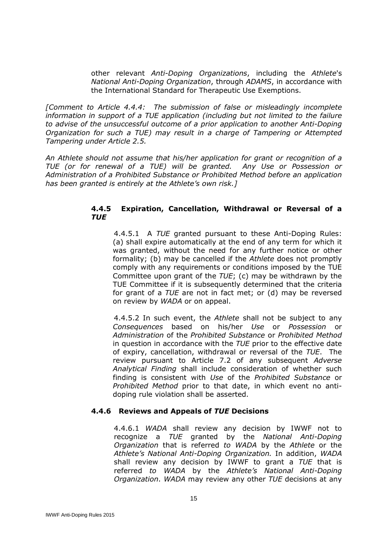other relevant *Anti-Doping Organizations*, including the *Athlete*'s *National Anti-Doping Organization*, through *ADAMS*, in accordance with the International Standard for Therapeutic Use Exemptions.

*[Comment to Article 4.4.4: The submission of false or misleadingly incomplete information in support of a TUE application (including but not limited to the failure to advise of the unsuccessful outcome of a prior application to another Anti-Doping Organization for such a TUE) may result in a charge of Tampering or Attempted Tampering under Article 2.5.* 

*An Athlete should not assume that his/her application for grant or recognition of a TUE (or for renewal of a TUE) will be granted. Any Use or Possession or Administration of a Prohibited Substance or Prohibited Method before an application has been granted is entirely at the Athlete's own risk.]* 

#### **4.4.5 Expiration, Cancellation, Withdrawal or Reversal of a**  *TUE*

4.4.5.1 A *TUE* granted pursuant to these Anti-Doping Rules: (a) shall expire automatically at the end of any term for which it was granted, without the need for any further notice or other formality; (b) may be cancelled if the *Athlete* does not promptly comply with any requirements or conditions imposed by the TUE Committee upon grant of the *TUE*; (c) may be withdrawn by the TUE Committee if it is subsequently determined that the criteria for grant of a *TUE* are not in fact met; or (d) may be reversed on review by *WADA* or on appeal.

4.4.5.2 In such event, the *Athlete* shall not be subject to any *Consequences* based on his/her *Use* or *Possession* or *Administration* of the *Prohibited Substance* or *Prohibited Method* in question in accordance with the *TUE* prior to the effective date of expiry, cancellation, withdrawal or reversal of the *TUE*. The review pursuant to Article 7.2 of any subsequent *Adverse Analytical Finding* shall include consideration of whether such finding is consistent with *Use* of the *Prohibited Substance* or *Prohibited Method* prior to that date, in which event no antidoping rule violation shall be asserted.

#### **4.4.6 Reviews and Appeals of** *TUE* **Decisions**

4.4.6.1 *WADA* shall review any decision by IWWF not to recognize a *TUE* granted by the *National Anti-Doping Organization* that is referred *to WADA* by the *Athlete* or the *Athlete's National Anti-Doping Organization.* In addition, *WADA*  shall review any decision by IWWF to grant a *TUE* that is referred *to WADA* by the *Athlete's National Anti-Doping Organization*. *WADA* may review any other *TUE* decisions at any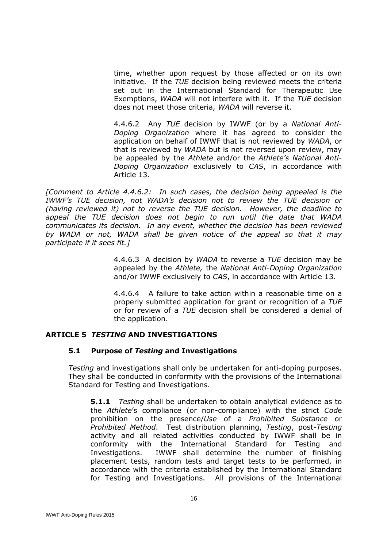time, whether upon request by those affected or on its own initiative. If the *TUE* decision being reviewed meets the criteria set out in the International Standard for Therapeutic Use Exemptions, *WADA* will not interfere with it. If the *TUE* decision does not meet those criteria, *WADA* will reverse it.

4.4.6.2 Any *TUE* decision by IWWF (or by a *National Anti-Doping Organization* where it has agreed to consider the application on behalf of IWWF that is not reviewed by *WADA*, or that is reviewed by *WADA* but is not reversed upon review, may be appealed by the *Athlete* and/or the *Athlete's National Anti-Doping Organization* exclusively to *CAS*, in accordance with Article 13.

*[Comment to Article 4.4.6.2: In such cases, the decision being appealed is the IWWF's TUE decision, not WADA's decision not to review the TUE decision or (having reviewed it) not to reverse the TUE decision. However, the deadline to appeal the TUE decision does not begin to run until the date that WADA communicates its decision. In any event, whether the decision has been reviewed by WADA or not, WADA shall be given notice of the appeal so that it may participate if it sees fit.]* 

> 4.4.6.3 A decision by *WADA* to reverse a *TUE* decision may be appealed by the *Athlete,* the *National Anti-Doping Organization*  and/or IWWF exclusively to *CAS*, in accordance with Article 13.

> 4.4.6.4A failure to take action within a reasonable time on a properly submitted application for grant or recognition of a *TUE* or for review of a *TUE* decision shall be considered a denial of the application.

# **ARTICLE 5** *TESTING* **AND INVESTIGATIONS**

#### **5.1 Purpose of** *Testing* **and Investigations**

*Testing* and investigations shall only be undertaken for anti-doping purposes. They shall be conducted in conformity with the provisions of the International Standard for Testing and Investigations.

**5.1.1** *Testing* shall be undertaken to obtain analytical evidence as to the *Athlete*'s compliance (or non-compliance) with the strict *Cod*e prohibition on the presence/*Use* of a *Prohibited Substance* or *Prohibited Method*. Test distribution planning, *Testing*, post-*Testing* activity and all related activities conducted by IWWF shall be in conformity with the International Standard for Testing and Investigations. IWWF shall determine the number of finishing placement tests, random tests and target tests to be performed, in accordance with the criteria established by the International Standard for Testing and Investigations. All provisions of the International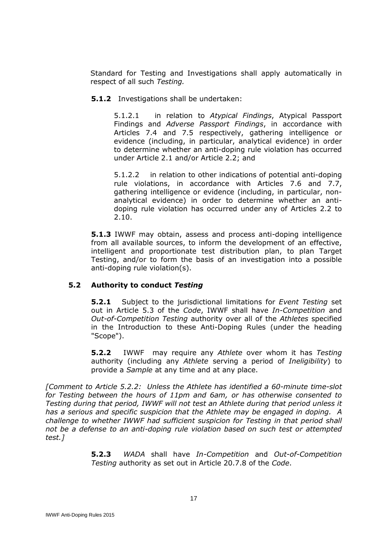Standard for Testing and Investigations shall apply automatically in respect of all such *Testing.* 

**5.1.2** Investigations shall be undertaken:

5.1.2.1 in relation to *Atypical Findings*, Atypical Passport Findings and *Adverse Passport Findings*, in accordance with Articles 7.4 and 7.5 respectively, gathering intelligence or evidence (including, in particular, analytical evidence) in order to determine whether an anti-doping rule violation has occurred under Article 2.1 and/or Article 2.2; and

5.1.2.2 in relation to other indications of potential anti-doping rule violations, in accordance with Articles 7.6 and 7.7, gathering intelligence or evidence (including, in particular, nonanalytical evidence) in order to determine whether an antidoping rule violation has occurred under any of Articles 2.2 to 2.10.

**5.1.3** IWWF may obtain, assess and process anti-doping intelligence from all available sources, to inform the development of an effective, intelligent and proportionate test distribution plan, to plan Target Testing, and/or to form the basis of an investigation into a possible anti-doping rule violation(s).

# **5.2 Authority to conduct** *Testing*

**5.2.1** Subject to the jurisdictional limitations for *Event Testing* set out in Article 5.3 of the *Code*, IWWF shall have *In-Competition* and *Out-of-Competition Testing* authority over all of the *Athletes* specified in the Introduction to these Anti-Doping Rules (under the heading "Scope").

**5.2.2** IWWF may require any *Athlete* over whom it has *Testing*  authority (including any *Athlete* serving a period of *Ineligibility*) to provide a *Sample* at any time and at any place.

*[Comment to Article 5.2.2: Unless the Athlete has identified a 60-minute time-slot for Testing between the hours of 11pm and 6am, or has otherwise consented to Testing during that period, IWWF will not test an Athlete during that period unless it has a serious and specific suspicion that the Athlete may be engaged in doping. A challenge to whether IWWF had sufficient suspicion for Testing in that period shall not be a defense to an anti-doping rule violation based on such test or attempted test.]* 

> **5.2.3** *WADA* shall have *In-Competition* and *Out-of-Competition Testing* authority as set out in Article 20.7.8 of the *Code*.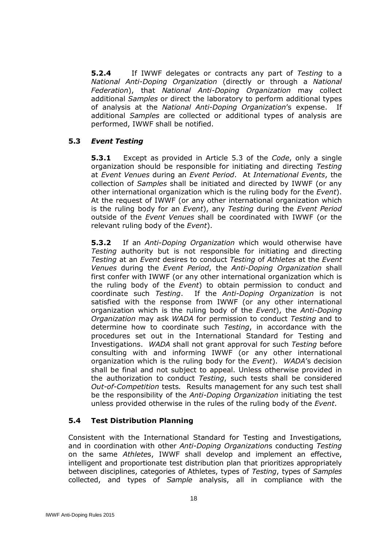**5.2.4** If IWWF delegates or contracts any part of *Testing* to a *National Anti-Doping Organization* (directly or through a *National Federation*), that *National Anti-Doping Organization* may collect additional *Samples* or direct the laboratory to perform additional types of analysis at the *National Anti-Doping Organization*'s expense. If additional *Samples* are collected or additional types of analysis are performed, IWWF shall be notified.

# **5.3** *Event Testing*

**5.3.1** Except as provided in Article 5.3 of the *Code*, only a single organization should be responsible for initiating and directing *Testing* at *Event Venues* during an *Event Period*. At *International Events*, the collection of *Samples* shall be initiated and directed by IWWF (or any other international organization which is the ruling body for the *Event*). At the request of IWWF (or any other international organization which is the ruling body for an *Event*), any *Testing* during the *Event Period* outside of the *Event Venues* shall be coordinated with IWWF (or the relevant ruling body of the *Event*).

**5.3.2** If an *Anti-Doping Organization* which would otherwise have *Testing* authority but is not responsible for initiating and directing *Testing* at an *Event* desires to conduct *Testing* of *Athletes* at the *Event Venues* during the *Event Period*, the *Anti-Doping Organization* shall first confer with IWWF (or any other international organization which is the ruling body of the *Event*) to obtain permission to conduct and coordinate such *Testing*. If the *Anti-Doping Organization* is not satisfied with the response from IWWF (or any other international organization which is the ruling body of the *Event*), the *Anti-Doping Organization* may ask *WADA* for permission to conduct *Testing* and to determine how to coordinate such *Testing*, in accordance with the procedures set out in the International Standard for Testing and Investigations. *WADA* shall not grant approval for such *Testing* before consulting with and informing IWWF (or any other international organization which is the ruling body for the *Event*). *WADA*'s decision shall be final and not subject to appeal. Unless otherwise provided in the authorization to conduct *Testing*, such tests shall be considered *Out-of-Competition* tests*.* Results management for any such test shall be the responsibility of the *Anti-Doping Organization* initiating the test unless provided otherwise in the rules of the ruling body of the *Event*.

# **5.4 Test Distribution Planning**

Consistent with the International Standard for Testing and Investigations*,*  and in coordination with other *Anti-Doping Organization*s conducting *Testing* on the same *Athlete*s, IWWF shall develop and implement an effective, intelligent and proportionate test distribution plan that prioritizes appropriately between disciplines, categories of Athletes, types of *Testing*, types of *Samples* collected, and types of *Sample* analysis, all in compliance with the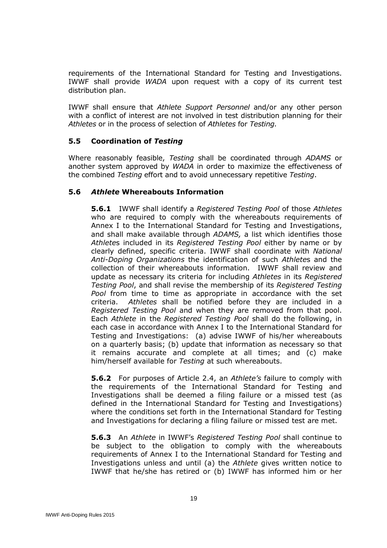requirements of the International Standard for Testing and Investigations. IWWF shall provide *WADA* upon request with a copy of its current test distribution plan.

IWWF shall ensure that *Athlete Support Personnel* and/or any other person with a conflict of interest are not involved in test distribution planning for their *Athletes* or in the process of selection of *Athletes* for *Testing.* 

# **5.5 Coordination of** *Testing*

Where reasonably feasible, *Testing* shall be coordinated through *ADAMS* or another system approved by *WADA* in order to maximize the effectiveness of the combined *Testing* effort and to avoid unnecessary repetitive *Testing*.

# **5.6** *Athlete* **Whereabouts Information**

**5.6.1** IWWF shall identify a *Registered Testing Pool* of those *Athletes* who are required to comply with the whereabouts requirements of Annex I to the International Standard for Testing and Investigations, and shall make available through *ADAMS,* a list which identifies those *Athlete*s included in its *Registered Testing Pool* either by name or by clearly defined, specific criteria. IWWF shall coordinate with *National Anti-Doping Organizations* the identification of such *Athlete*s and the collection of their whereabouts information. IWWF shall review and update as necessary its criteria for including *Athletes* in its *Registered Testing Pool*, and shall revise the membership of its *Registered Testing Pool* from time to time as appropriate in accordance with the set criteria. *Athletes* shall be notified before they are included in a *Registered Testing Pool* and when they are removed from that pool. Each *Athlete* in the *Registered Testing Pool* shall do the following, in each case in accordance with Annex I to the International Standard for Testing and Investigations: (a) advise IWWF of his/her whereabouts on a quarterly basis; (b) update that information as necessary so that it remains accurate and complete at all times; and (c) make him/herself available for *Testing* at such whereabouts.

**5.6.2** For purposes of Article 2.4, an *Athlete's* failure to comply with the requirements of the International Standard for Testing and Investigations shall be deemed a filing failure or a missed test (as defined in the International Standard for Testing and Investigations) where the conditions set forth in the International Standard for Testing and Investigations for declaring a filing failure or missed test are met.

**5.6.3** An *Athlete* in IWWF's *Registered Testing Pool* shall continue to be subject to the obligation to comply with the whereabouts requirements of Annex I to the International Standard for Testing and Investigations unless and until (a) the *Athlete* gives written notice to IWWF that he/she has retired or (b) IWWF has informed him or her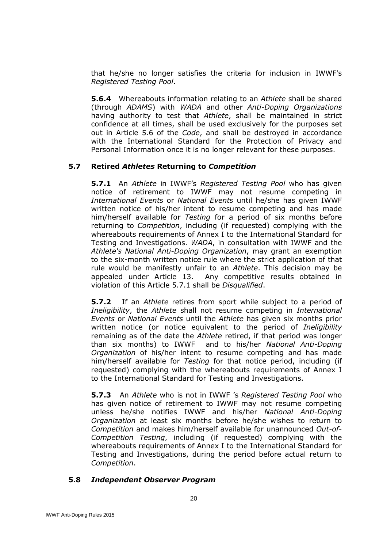that he/she no longer satisfies the criteria for inclusion in IWWF's *Registered Testing Pool*.

**5.6.4** Whereabouts information relating to an *Athlete* shall be shared (through *ADAMS*) with *WADA* and other *Anti-Doping Organizations* having authority to test that *Athlete*, shall be maintained in strict confidence at all times, shall be used exclusively for the purposes set out in Article 5.6 of the *Code*, and shall be destroyed in accordance with the International Standard for the Protection of Privacy and Personal Information once it is no longer relevant for these purposes.

# **5.7 Retired** *Athletes* **Returning to** *Competition*

**5.7.1** An *Athlete* in IWWF's *Registered Testing Pool* who has given notice of retirement to IWWF may not resume competing in *International Events* or *National Events* until he/she has given IWWF written notice of his/her intent to resume competing and has made him/herself available for *Testing* for a period of six months before returning to *Competition*, including (if requested) complying with the whereabouts requirements of Annex I to the International Standard for Testing and Investigations. *WADA*, in consultation with IWWF and the *Athlete's National Anti-Doping Organization*, may grant an exemption to the six-month written notice rule where the strict application of that rule would be manifestly unfair to an *Athlete*. This decision may be appealed under Article 13. Any competitive results obtained in violation of this Article 5.7.1 shall be *Disqualified*.

**5.7.2** If an *Athlete* retires from sport while subject to a period of *Ineligibility*, the *Athlete* shall not resume competing in *International Events* or *National Events* until the *Athlete* has given six months prior written notice (or notice equivalent to the period of *Ineligibility*  remaining as of the date the *Athlete* retired, if that period was longer than six months) to IWWF and to his/her *National Anti-Doping Organization* of his/her intent to resume competing and has made him/herself available for *Testing* for that notice period, including (if requested) complying with the whereabouts requirements of Annex I to the International Standard for Testing and Investigations.

**5.7.3** An *Athlete* who is not in IWWF 's *Registered Testing Pool* who has given notice of retirement to IWWF may not resume competing unless he/she notifies IWWF and his/her *National Anti-Doping Organization* at least six months before he/she wishes to return to *Competition* and makes him/herself available for unannounced *Out-of-Competition Testing*, including (if requested) complying with the whereabouts requirements of Annex I to the International Standard for Testing and Investigations, during the period before actual return to *Competition*.

# **5.8** *Independent Observer Program*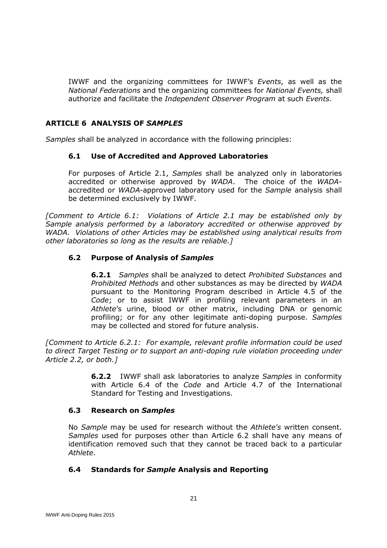IWWF and the organizing committees for IWWF's *Events*, as well as the *National Federations* and the organizing committees for *National Events,* shall authorize and facilitate the *Independent Observer Program* at such *Events*.

# **ARTICLE 6 ANALYSIS OF** *SAMPLES*

*Samples* shall be analyzed in accordance with the following principles:

#### **6.1 Use of Accredited and Approved Laboratories**

For purposes of Article 2.1, *Samples* shall be analyzed only in laboratories accredited or otherwise approved by *WADA*. The choice of the *WADA*accredited or *WADA*-approved laboratory used for the *Sample* analysis shall be determined exclusively by IWWF.

*[Comment to Article 6.1: Violations of Article 2.1 may be established only by Sample analysis performed by a laboratory accredited or otherwise approved by WADA. Violations of other Articles may be established using analytical results from other laboratories so long as the results are reliable.]* 

#### **6.2 Purpose of Analysis of** *Samples*

**6.2.1** *Samples* shall be analyzed to detect *Prohibited Substances* and *Prohibited Methods* and other substances as may be directed by *WADA* pursuant to the Monitoring Program described in Article 4.5 of the *Code*; or to assist IWWF in profiling relevant parameters in an *Athlete*'s urine, blood or other matrix, including DNA or genomic profiling; or for any other legitimate anti-doping purpose. *Samples*  may be collected and stored for future analysis.

*[Comment to Article 6.2.1: For example, relevant profile information could be used to direct Target Testing or to support an anti-doping rule violation proceeding under Article 2.2, or both.]* 

> **6.2.2** IWWF shall ask laboratories to analyze *Samples* in conformity with Article 6.4 of the *Code* and Article 4.7 of the International Standard for Testing and Investigations.

#### **6.3 Research on** *Samples*

No *Sample* may be used for research without the *Athlete's* written consent. *Samples* used for purposes other than Article 6.2 shall have any means of identification removed such that they cannot be traced back to a particular *Athlete*.

#### **6.4 Standards for** *Sample* **Analysis and Reporting**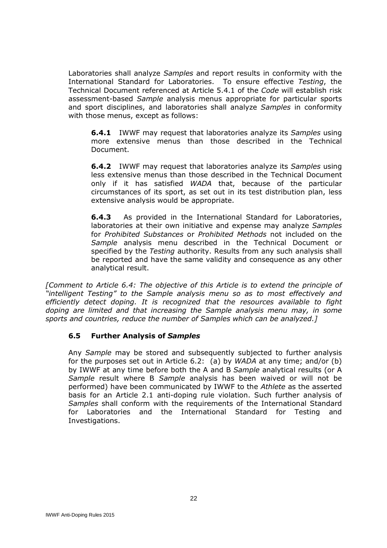Laboratories shall analyze *Samples* and report results in conformity with the International Standard for Laboratories. To ensure effective *Testing*, the Technical Document referenced at Article 5.4.1 of the *Code* will establish risk assessment-based *Sample* analysis menus appropriate for particular sports and sport disciplines, and laboratories shall analyze *Samples* in conformity with those menus, except as follows:

**6.4.1** IWWF may request that laboratories analyze its *Samples* using more extensive menus than those described in the Technical Document.

**6.4.2** IWWF may request that laboratories analyze its *Samples* using less extensive menus than those described in the Technical Document only if it has satisfied *WADA* that, because of the particular circumstances of its sport, as set out in its test distribution plan, less extensive analysis would be appropriate.

**6.4.3** As provided in the International Standard for Laboratories, laboratories at their own initiative and expense may analyze *Samples*  for *Prohibited Substances* or *Prohibited Methods* not included on the *Sample* analysis menu described in the Technical Document or specified by the *Testing* authority. Results from any such analysis shall be reported and have the same validity and consequence as any other analytical result.

*[Comment to Article 6.4: The objective of this Article is to extend the principle of "intelligent Testing" to the Sample analysis menu so as to most effectively and efficiently detect doping. It is recognized that the resources available to fight doping are limited and that increasing the Sample analysis menu may, in some sports and countries, reduce the number of Samples which can be analyzed.]* 

# **6.5 Further Analysis of** *Samples*

Any *Sample* may be stored and subsequently subjected to further analysis for the purposes set out in Article 6.2: (a) by *WADA* at any time; and/or (b) by IWWF at any time before both the A and B *Sample* analytical results (or A *Sample* result where B *Sample* analysis has been waived or will not be performed) have been communicated by IWWF to the *Athlete* as the asserted basis for an Article 2.1 anti-doping rule violation. Such further analysis of *Samples* shall conform with the requirements of the International Standard for Laboratories and the International Standard for Testing and Investigations.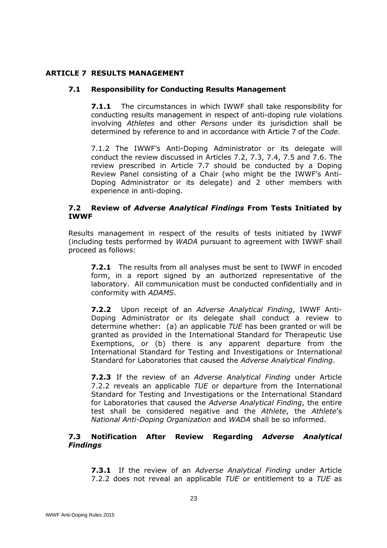# **ARTICLE 7 RESULTS MANAGEMENT**

#### **7.1 Responsibility for Conducting Results Management**

**7.1.1** The circumstances in which IWWF shall take responsibility for conducting results management in respect of anti-doping rule violations involving *Athletes* and other *Persons* under its jurisdiction shall be determined by reference to and in accordance with Article 7 of the *Code*.

7.1.2 The IWWF's Anti-Doping Administrator or its delegate will conduct the review discussed in Articles 7.2, 7.3, 7.4, 7.5 and 7.6. The review prescribed in Article 7.7 should be conducted by a Doping Review Panel consisting of a Chair (who might be the IWWF's Anti-Doping Administrator or its delegate) and 2 other members with experience in anti-doping.

# **7.2 Review of** *Adverse Analytical Findings* **From Tests Initiated by IWWF**

Results management in respect of the results of tests initiated by IWWF (including tests performed by *WADA* pursuant to agreement with IWWF shall proceed as follows:

**7.2.1** The results from all analyses must be sent to IWWF in encoded form, in a report signed by an authorized representative of the laboratory. All communication must be conducted confidentially and in conformity with *ADAMS*.

**7.2.2** Upon receipt of an *Adverse Analytical Finding*, IWWF Anti-Doping Administrator or its delegate shall conduct a review to determine whether: (a) an applicable *TUE* has been granted or will be granted as provided in the International Standard for Therapeutic Use Exemptions, or (b) there is any apparent departure from the International Standard for Testing and Investigations or International Standard for Laboratories that caused the *Adverse Analytical Finding*.

**7.2.3** If the review of an *Adverse Analytical Finding* under Article 7.2.2 reveals an applicable *TUE* or departure from the International Standard for Testing and Investigations or the International Standard for Laboratories that caused the *Adverse Analytical Finding*, the entire test shall be considered negative and the *Athlete*, the *Athlete*'s *National Anti-Doping Organization* and *WADA* shall be so informed.

# **7.3 Notification After Review Regarding** *Adverse Analytical Findings*

**7.3.1** If the review of an *Adverse Analytical Finding* under Article 7.2.2 does not reveal an applicable *TUE* or entitlement to a *TUE* as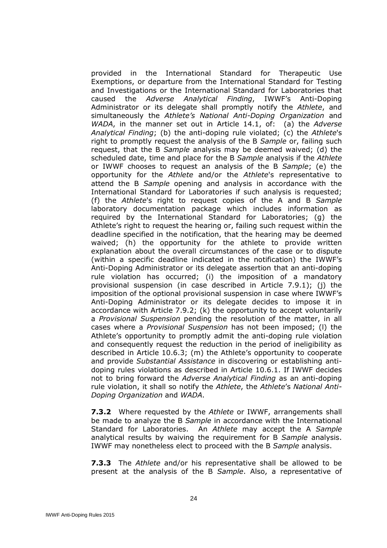provided in the International Standard for Therapeutic Use Exemptions, or departure from the International Standard for Testing and Investigations or the International Standard for Laboratories that caused the *Adverse Analytical Finding*, IWWF's Anti-Doping Administrator or its delegate shall promptly notify the *Athlete*, and simultaneously the *Athlete's National Anti-Doping Organization* and *WADA*, in the manner set out in Article 14.1, of: (a) the *Adverse Analytical Finding*; (b) the anti-doping rule violated; (c) the *Athlete*'s right to promptly request the analysis of the B *Sample* or, failing such request, that the B *Sample* analysis may be deemed waived; (d) the scheduled date, time and place for the B *Sample* analysis if the *Athlete* or IWWF chooses to request an analysis of the B *Sample*; (e) the opportunity for the *Athlete* and/or the *Athlete*'s representative to attend the B *Sample* opening and analysis in accordance with the International Standard for Laboratories if such analysis is requested; (f) the *Athlete*'s right to request copies of the A and B *Sample* laboratory documentation package which includes information as required by the International Standard for Laboratories; (g) the Athlete's right to request the hearing or, failing such request within the deadline specified in the notification, that the hearing may be deemed waived; (h) the opportunity for the athlete to provide written explanation about the overall circumstances of the case or to dispute (within a specific deadline indicated in the notification) the IWWF's Anti-Doping Administrator or its delegate assertion that an anti-doping rule violation has occurred; (i) the imposition of a mandatory provisional suspension (in case described in Article 7.9.1); (j) the imposition of the optional provisional suspension in case where IWWF's Anti-Doping Administrator or its delegate decides to impose it in accordance with Article 7.9.2; (k) the opportunity to accept voluntarily a *Provisional Suspension* pending the resolution of the matter, in all cases where a *Provisional Suspension* has not been imposed; (l) the Athlete's opportunity to promptly admit the anti-doping rule violation and consequently request the reduction in the period of ineligibility as described in Article 10.6.3; (m) the Athlete's opportunity to cooperate and provide *Substantial Assistance* in discovering or establishing antidoping rules violations as described in Article 10.6.1. If IWWF decides not to bring forward the *Adverse Analytical Finding* as an anti-doping rule violation, it shall so notify the *Athlete*, the *Athlete*'s *National Anti-Doping Organization* and *WADA*.

**7.3.2** Where requested by the *Athlete* or IWWF, arrangements shall be made to analyze the B *Sample* in accordance with the International Standard for Laboratories. An *Athlete* may accept the A *Sample* analytical results by waiving the requirement for B *Sample* analysis. IWWF may nonetheless elect to proceed with the B *Sample* analysis.

**7.3.3** The *Athlete* and/or his representative shall be allowed to be present at the analysis of the B *Sample*. Also, a representative of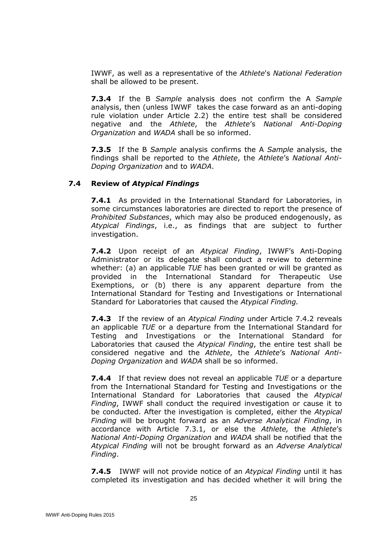IWWF, as well as a representative of the *Athlete*'s *National Federation*  shall be allowed to be present.

**7.3.4** If the B *Sample* analysis does not confirm the A *Sample*  analysis, then (unless IWWF takes the case forward as an anti-doping rule violation under Article 2.2) the entire test shall be considered negative and the *Athlete*, the *Athlete*'s *National Anti-Doping Organization* and *WADA* shall be so informed.

**7.3.5** If the B *Sample* analysis confirms the A *Sample* analysis, the findings shall be reported to the *Athlete*, the *Athlete*'s *National Anti-Doping Organization* and to *WADA*.

#### **7.4 Review of** *Atypical Findings*

**7.4.1** As provided in the International Standard for Laboratories, in some circumstances laboratories are directed to report the presence of *Prohibited Substances*, which may also be produced endogenously, as *Atypical Findings*, i.e., as findings that are subject to further investigation.

**7.4.2** Upon receipt of an *Atypical Finding*, IWWF's Anti-Doping Administrator or its delegate shall conduct a review to determine whether: (a) an applicable *TUE* has been granted or will be granted as provided in the International Standard for Therapeutic Use Exemptions, or (b) there is any apparent departure from the International Standard for Testing and Investigations or International Standard for Laboratories that caused the *Atypical Finding.*

**7.4.3** If the review of an *Atypical Finding* under Article 7.4.2 reveals an applicable *TUE* or a departure from the International Standard for Testing and Investigations or the International Standard for Laboratories that caused the *Atypical Finding*, the entire test shall be considered negative and the *Athlete*, the *Athlete*'s *National Anti-Doping Organization* and *WADA* shall be so informed.

**7.4.4** If that review does not reveal an applicable *TUE* or a departure from the International Standard for Testing and Investigations or the International Standard for Laboratories that caused the *Atypical Finding*, IWWF shall conduct the required investigation or cause it to be conducted. After the investigation is completed, either the *Atypical Finding* will be brought forward as an *Adverse Analytical Finding*, in accordance with Article 7.3.1, or else the *Athlete,* the *Athlete*'s *National Anti-Doping Organization* and *WADA* shall be notified that the *Atypical Finding* will not be brought forward as an *Adverse Analytical Finding*.

**7.4.5** IWWF will not provide notice of an *Atypical Finding* until it has completed its investigation and has decided whether it will bring the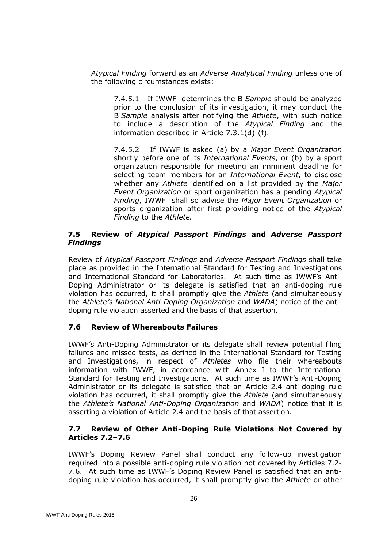*Atypical Finding* forward as an *Adverse Analytical Finding* unless one of the following circumstances exists:

7.4.5.1 If IWWF determines the B *Sample* should be analyzed prior to the conclusion of its investigation, it may conduct the B *Sample* analysis after notifying the *Athlete*, with such notice to include a description of the *Atypical Finding* and the information described in Article 7.3.1(d)-(f).

7.4.5.2 If IWWF is asked (a) by a *Major Event Organization*  shortly before one of its *International Events*, or (b) by a sport organization responsible for meeting an imminent deadline for selecting team members for an *International Event*, to disclose whether any *Athlete* identified on a list provided by the *Major Event Organization* or sport organization has a pending *Atypical Finding*, IWWF shall so advise the *Major Event Organization* or sports organization after first providing notice of the *Atypical Finding* to the *Athlete.* 

# **7.5 Review of** *Atypical Passport Findings* **and** *Adverse Passport Findings*

Review of *Atypical Passport Findings* and *Adverse Passport Findings* shall take place as provided in the International Standard for Testing and Investigations and International Standard for Laboratories. At such time as IWWF's Anti-Doping Administrator or its delegate is satisfied that an anti-doping rule violation has occurred, it shall promptly give the *Athlete* (and simultaneously the *Athlete's National Anti-Doping Organization* and *WADA*) notice of the antidoping rule violation asserted and the basis of that assertion.

# **7.6 Review of Whereabouts Failures**

IWWF's Anti-Doping Administrator or its delegate shall review potential filing failures and missed tests, as defined in the International Standard for Testing and Investigations, in respect of *Athletes* who file their whereabouts information with IWWF, in accordance with Annex I to the International Standard for Testing and Investigations. At such time as IWWF's Anti-Doping Administrator or its delegate is satisfied that an Article 2.4 anti-doping rule violation has occurred, it shall promptly give the *Athlete* (and simultaneously the *Athlete's National Anti-Doping Organization* and *WADA*) notice that it is asserting a violation of Article 2.4 and the basis of that assertion.

# **7.7 Review of Other Anti-Doping Rule Violations Not Covered by Articles 7.2–7.6**

IWWF's Doping Review Panel shall conduct any follow-up investigation required into a possible anti-doping rule violation not covered by Articles 7.2- 7.6. At such time as IWWF's Doping Review Panel is satisfied that an antidoping rule violation has occurred, it shall promptly give the *Athlete* or other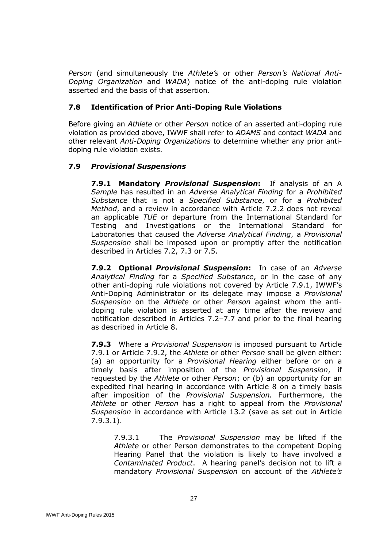*Person* (and simultaneously the *Athlete's* or other *Person's National Anti-Doping Organization* and *WADA*) notice of the anti-doping rule violation asserted and the basis of that assertion.

# **7.8 Identification of Prior Anti-Doping Rule Violations**

Before giving an *Athlete* or other *Person* notice of an asserted anti-doping rule violation as provided above, IWWF shall refer to *ADAMS* and contact *WADA* and other relevant *Anti-Doping Organizations* to determine whether any prior antidoping rule violation exists.

# **7.9** *Provisional Suspensions*

**7.9.1 Mandatory** *Provisional Suspension***:** If analysis of an A *Sample* has resulted in an *Adverse Analytical Finding* for a *Prohibited Substance* that is not a *Specified Substance*, or for a *Prohibited Method*, and a review in accordance with Article 7.2.2 does not reveal an applicable *TUE* or departure from the International Standard for Testing and Investigations or the International Standard for Laboratories that caused the *Adverse Analytical Finding*, a *Provisional Suspension* shall be imposed upon or promptly after the notification described in Articles 7.2, 7.3 or 7.5.

**7.9.2 Optional** *Provisional Suspension***:** In case of an *Adverse Analytical Finding* for a *Specified Substance*, or in the case of any other anti-doping rule violations not covered by Article 7.9.1, IWWF's Anti-Doping Administrator or its delegate may impose a *Provisional Suspension* on the *Athlete* or other *Person* against whom the antidoping rule violation is asserted at any time after the review and notification described in Articles 7.2–7.7 and prior to the final hearing as described in Article 8.

**7.9.3** Where a *Provisional Suspension* is imposed pursuant to Article 7.9.1 or Article 7.9.2, the *Athlete* or other *Person* shall be given either: (a) an opportunity for a *Provisional Hearing* either before or on a timely basis after imposition of the *Provisional Suspension*, if requested by the *Athlete* or other *Person*; or (b) an opportunity for an expedited final hearing in accordance with Article 8 on a timely basis after imposition of the *Provisional Suspension.* Furthermore, the *Athlete* or other *Person* has a right to appeal from the *Provisional Suspension* in accordance with Article 13.2 (save as set out in Article 7.9.3.1).

7.9.3.1 The *Provisional Suspension* may be lifted if the *Athlete* or other Person demonstrates to the competent Doping Hearing Panel that the violation is likely to have involved a *Contaminated Product*. A hearing panel's decision not to lift a mandatory *Provisional Suspension* on account of the *Athlete's*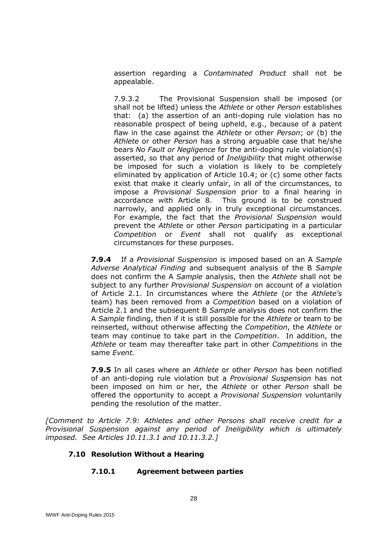assertion regarding a *Contaminated Product* shall not be appealable.

7.9.3.2 The Provisional Suspension shall be imposed (or shall not be lifted) unless the *Athlete* or other *Person* establishes that: (a) the assertion of an anti-doping rule violation has no reasonable prospect of being upheld, e.g., because of a patent flaw in the case against the *Athlete* or other *Person*; or (b) the *Athlete* or other *Person* has a strong arguable case that he/she bears *No Fault or Negligence* for the anti-doping rule violation(s) asserted, so that any period of *Ineligibility* that might otherwise be imposed for such a violation is likely to be completely eliminated by application of Article 10.4; or (c) some other facts exist that make it clearly unfair, in all of the circumstances, to impose a *Provisional Suspension* prior to a final hearing in accordance with Article 8. This ground is to be construed narrowly, and applied only in truly exceptional circumstances. For example, the fact that the *Provisional Suspension* would prevent the *Athlete* or other *Person* participating in a particular *Competition* or *Event* shall not qualify as exceptional circumstances for these purposes.

**7.9.4** If a *Provisional Suspension* is imposed based on an A *Sample Adverse Analytical Finding* and subsequent analysis of the B *Sample* does not confirm the A *Sample* analysis, then the *Athlete* shall not be subject to any further *Provisional Suspension* on account of a violation of Article 2.1. In circumstances where the *Athlete* (or the *Athlete's*  team) has been removed from a *Competition* based on a violation of Article 2.1 and the subsequent B *Sample* analysis does not confirm the A *Sample* finding, then if it is still possible for the *Athlete* or team to be reinserted, without otherwise affecting the *Competition*, the *Athlete* or team may continue to take part in the *Competition*. In addition, the *Athlete* or team may thereafter take part in other *Competitions* in the same *Event.* 

**7.9.5** In all cases where an *Athlete* or other *Person* has been notified of an anti-doping rule violation but a *Provisional Suspension* has not been imposed on him or her, the *Athlete* or other *Person* shall be offered the opportunity to accept a *Provisional Suspension* voluntarily pending the resolution of the matter.

*[Comment to Article 7.9: Athletes and other Persons shall receive credit for a Provisional Suspension against any period of Ineligibility which is ultimately imposed. See Articles 10.11.3.1 and 10.11.3.2.]* 

#### **7.10 Resolution Without a Hearing**

#### **7.10.1 Agreement between parties**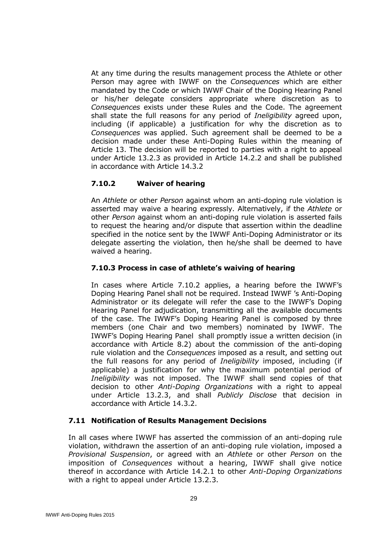At any time during the results management process the Athlete or other Person may agree with IWWF on the *Consequences* which are either mandated by the Code or which IWWF Chair of the Doping Hearing Panel or his/her delegate considers appropriate where discretion as to *Consequences* exists under these Rules and the Code. The agreement shall state the full reasons for any period of *Ineligibility* agreed upon, including (if applicable) a justification for why the discretion as to *Consequences* was applied. Such agreement shall be deemed to be a decision made under these Anti-Doping Rules within the meaning of Article 13. The decision will be reported to parties with a right to appeal under Article 13.2.3 as provided in Article 14.2.2 and shall be published in accordance with Article 14.3.2

# **7.10.2 Waiver of hearing**

An *Athlete* or other *Person* against whom an anti-doping rule violation is asserted may waive a hearing expressly. Alternatively, if the *Athlete* or other *Person* against whom an anti-doping rule violation is asserted fails to request the hearing and/or dispute that assertion within the deadline specified in the notice sent by the IWWF Anti-Doping Administrator or its delegate asserting the violation, then he/she shall be deemed to have waived a hearing.

#### **7.10.3 Process in case of athlete's waiving of hearing**

In cases where Article 7.10.2 applies, a hearing before the IWWF's Doping Hearing Panel shall not be required. Instead IWWF 's Anti-Doping Administrator or its delegate will refer the case to the IWWF's Doping Hearing Panel for adjudication, transmitting all the available documents of the case. The IWWF's Doping Hearing Panel is composed by three members (one Chair and two members) nominated by IWWF. The IWWF's Doping Hearing Panel shall promptly issue a written decision (in accordance with Article 8.2) about the commission of the anti-doping rule violation and the *Consequences* imposed as a result, and setting out the full reasons for any period of *Ineligibility* imposed, including (if applicable) a justification for why the maximum potential period of *Ineligibility* was not imposed. The IWWF shall send copies of that decision to other *Anti-Doping Organizations* with a right to appeal under Article 13.2.3, and shall *Publicly Disclose* that decision in accordance with Article 14.3.2.

# **7.11 Notification of Results Management Decisions**

In all cases where IWWF has asserted the commission of an anti-doping rule violation, withdrawn the assertion of an anti-doping rule violation, imposed a *Provisional Suspension*, or agreed with an *Athlete* or other *Person* on the imposition of *Consequences* without a hearing, IWWF shall give notice thereof in accordance with Article 14.2.1 to other *Anti-Doping Organizations* with a right to appeal under Article 13.2.3.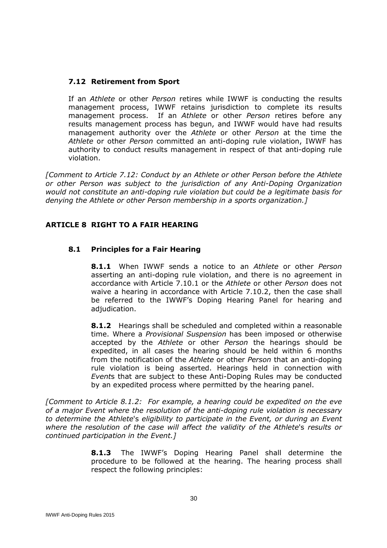# **7.12 Retirement from Sport**

If an *Athlete* or other *Person* retires while IWWF is conducting the results management process, IWWF retains jurisdiction to complete its results management process. If an *Athlete* or other *Person* retires before any results management process has begun, and IWWF would have had results management authority over the *Athlete* or other *Person* at the time the *Athlete* or other *Person* committed an anti-doping rule violation, IWWF has authority to conduct results management in respect of that anti-doping rule violation.

*[Comment to Article 7.12: Conduct by an Athlete or other Person before the Athlete or other Person was subject to the jurisdiction of any Anti-Doping Organization would not constitute an anti-doping rule violation but could be a legitimate basis for denying the Athlete or other Person membership in a sports organization.]* 

# **ARTICLE 8 RIGHT TO A FAIR HEARING**

# **8.1 Principles for a Fair Hearing**

**8.1.1** When IWWF sends a notice to an *Athlete* or other *Person* asserting an anti-doping rule violation, and there is no agreement in accordance with Article 7.10.1 or the *Athlete* or other *Person* does not waive a hearing in accordance with Article 7.10.2, then the case shall be referred to the IWWF's Doping Hearing Panel for hearing and adjudication.

**8.1.2** Hearings shall be scheduled and completed within a reasonable time. Where a *Provisional Suspension* has been imposed or otherwise accepted by the *Athlete* or other *Person* the hearings should be expedited, in all cases the hearing should be held within 6 months from the notification of the *Athlete* or other *Person* that an anti-doping rule violation is being asserted. Hearings held in connection with *Event*s that are subject to these Anti-Doping Rules may be conducted by an expedited process where permitted by the hearing panel.

*[Comment to Article 8.1.2: For example, a hearing could be expedited on the eve of a major Event where the resolution of the anti-doping rule violation is necessary to determine the Athlete*'s *eligibility to participate in the Event, or during an Event where the resolution of the case will affect the validity of the Athlete*'s *results or continued participation in the Event.]*

> **8.1.3** The IWWF's Doping Hearing Panel shall determine the procedure to be followed at the hearing. The hearing process shall respect the following principles: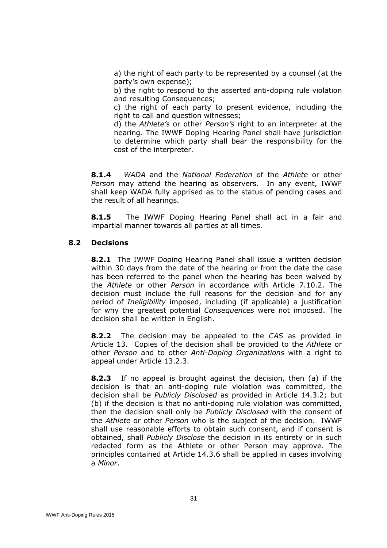a) the right of each party to be represented by a counsel (at the party's own expense);

b) the right to respond to the asserted anti-doping rule violation and resulting Consequences;

c) the right of each party to present evidence, including the right to call and question witnesses;

d) the *Athlete's* or other *Person's* right to an interpreter at the hearing. The IWWF Doping Hearing Panel shall have jurisdiction to determine which party shall bear the responsibility for the cost of the interpreter.

**8.1.4** *WADA* and the *National Federation* of the *Athlete* or other *Person* may attend the hearing as observers. In any event, IWWF shall keep WADA fully apprised as to the status of pending cases and the result of all hearings.

**8.1.5** The IWWF Doping Hearing Panel shall act in a fair and impartial manner towards all parties at all times.

#### **8.2 Decisions**

**8.2.1** The IWWF Doping Hearing Panel shall issue a written decision within 30 days from the date of the hearing or from the date the case has been referred to the panel when the hearing has been waived by the *Athlete* or other *Person* in accordance with Article 7.10.2. The decision must include the full reasons for the decision and for any period of *Ineligibility* imposed, including (if applicable) a justification for why the greatest potential *Consequences* were not imposed. The decision shall be written in English.

**8.2.2** The decision may be appealed to the *CAS* as provided in Article 13. Copies of the decision shall be provided to the *Athlete* or other *Person* and to other *Anti-Doping Organizations* with a right to appeal under Article 13.2.3.

**8.2.3** If no appeal is brought against the decision, then (a) if the decision is that an anti-doping rule violation was committed, the decision shall be *Publicly Disclosed* as provided in Article 14.3.2; but (b) if the decision is that no anti-doping rule violation was committed, then the decision shall only be *Publicly Disclosed* with the consent of the *Athlete* or other *Person* who is the subject of the decision. IWWF shall use reasonable efforts to obtain such consent, and if consent is obtained, shall *Publicly Disclose* the decision in its entirety or in such redacted form as the Athlete or other Person may approve. The principles contained at Article 14.3.6 shall be applied in cases involving a *Minor*.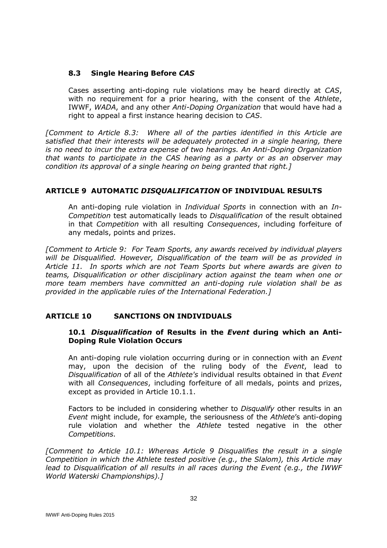# **8.3 Single Hearing Before** *CAS*

Cases asserting anti-doping rule violations may be heard directly at *CAS*, with no requirement for a prior hearing, with the consent of the *Athlete*, IWWF, *WADA*, and any other *Anti-Doping Organization* that would have had a right to appeal a first instance hearing decision to *CAS*.

*[Comment to Article 8.3: Where all of the parties identified in this Article are satisfied that their interests will be adequately protected in a single hearing, there is no need to incur the extra expense of two hearings. An Anti-Doping Organization that wants to participate in the CAS hearing as a party or as an observer may condition its approval of a single hearing on being granted that right.]* 

# **ARTICLE 9 AUTOMATIC** *DISQUALIFICATION* **OF INDIVIDUAL RESULTS**

An anti-doping rule violation in *Individual Sports* in connection with an *In-Competition* test automatically leads to *Disqualification* of the result obtained in that *Competition* with all resulting *Consequences*, including forfeiture of any medals, points and prizes.

*[Comment to Article 9: For Team Sports, any awards received by individual players will be Disqualified. However, Disqualification of the team will be as provided in Article 11. In sports which are not Team Sports but where awards are given to teams, Disqualification or other disciplinary action against the team when one or more team members have committed an anti-doping rule violation shall be as provided in the applicable rules of the International Federation.]* 

# **ARTICLE 10 SANCTIONS ON INDIVIDUALS**

# **10.1** *Disqualification* **of Results in the** *Event* **during which an Anti-Doping Rule Violation Occurs**

An anti-doping rule violation occurring during or in connection with an *Event*  may, upon the decision of the ruling body of the *Event*, lead to *Disqualification* of all of the *Athlete's* individual results obtained in that *Event* with all *Consequences*, including forfeiture of all medals, points and prizes, except as provided in Article 10.1.1.

Factors to be included in considering whether to *Disqualify* other results in an *Event* might include, for example, the seriousness of the *Athlete*'s anti-doping rule violation and whether the *Athlete* tested negative in the other *Competitions*.

*[Comment to Article 10.1: Whereas Article 9 Disqualifies the result in a single Competition in which the Athlete tested positive (e.g., the Slalom), this Article may lead to Disqualification of all results in all races during the Event (e.g., the IWWF World Waterski Championships).]*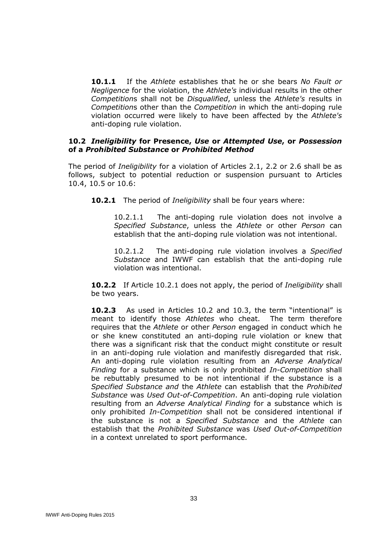**10.1.1** If the *Athlete* establishes that he or she bears *No Fault or Negligence* for the violation, the *Athlete's* individual results in the other *Competition*s shall not be *Disqualified*, unless the *Athlete's* results in *Competition*s other than the *Competition* in which the anti-doping rule violation occurred were likely to have been affected by the *Athlete's* anti-doping rule violation.

#### **10.2** *Ineligibility* **for Presence,** *Use* **or** *Attempted Use***, or** *Possession*  **of a** *Prohibited Substance* **or** *Prohibited Method*

The period of *Ineligibility* for a violation of Articles 2.1, 2.2 or 2.6 shall be as follows, subject to potential reduction or suspension pursuant to Articles 10.4, 10.5 or 10.6:

**10.2.1** The period of *Ineligibility* shall be four years where:

10.2.1.1 The anti-doping rule violation does not involve a *Specified Substance*, unless the *Athlete* or other *Person* can establish that the anti-doping rule violation was not intentional.

10.2.1.2 The anti-doping rule violation involves a *Specified Substance* and IWWF can establish that the anti-doping rule violation was intentional.

**10.2.2** If Article 10.2.1 does not apply, the period of *Ineligibility* shall be two years.

**10.2.3** As used in Articles 10.2 and 10.3, the term "intentional" is meant to identify those *Athletes* who cheat. The term therefore requires that the *Athlete* or other *Person* engaged in conduct which he or she knew constituted an anti-doping rule violation or knew that there was a significant risk that the conduct might constitute or result in an anti-doping rule violation and manifestly disregarded that risk. An anti-doping rule violation resulting from an *Adverse Analytical Finding* for a substance which is only prohibited *In-Competition* shall be rebuttably presumed to be not intentional if the substance is a *Specified Substance and* the *Athlete* can establish that the *Prohibited Substance* was *Used Out-of-Competition*. An anti-doping rule violation resulting from an *Adverse Analytical Finding* for a substance which is only prohibited *In-Competition* shall not be considered intentional if the substance is not a *Specified Substance* and the *Athlete* can establish that the *Prohibited Substance* was *Used Out-of-Competition* in a context unrelated to sport performance.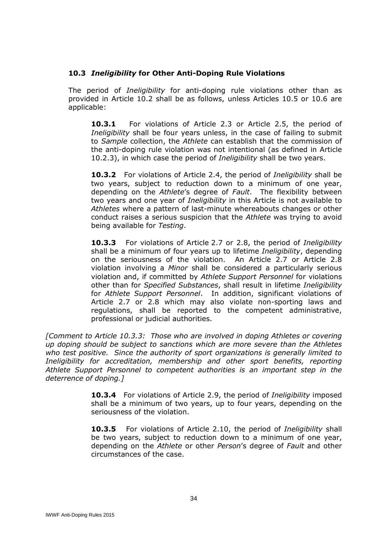# **10.3** *Ineligibility* **for Other Anti-Doping Rule Violations**

The period of *Ineligibility* for anti-doping rule violations other than as provided in Article 10.2 shall be as follows, unless Articles 10.5 or 10.6 are applicable:

**10.3.1** For violations of Article 2.3 or Article 2.5, the period of *Ineligibility* shall be four years unless, in the case of failing to submit to *Sample* collection, the *Athlete* can establish that the commission of the anti-doping rule violation was not intentional (as defined in Article 10.2.3), in which case the period of *Ineligibility* shall be two years.

**10.3.2** For violations of Article 2.4, the period of *Ineligibility* shall be two years, subject to reduction down to a minimum of one year, depending on the *Athlete*'s degree of *Fault*. The flexibility between two years and one year of *Ineligibility* in this Article is not available to *Athletes* where a pattern of last-minute whereabouts changes or other conduct raises a serious suspicion that the *Athlete* was trying to avoid being available for *Testing*.

**10.3.3** For violations of Article 2.7 or 2.8, the period of *Ineligibility* shall be a minimum of four years up to lifetime *Ineligibility*, depending on the seriousness of the violation. An Article 2.7 or Article 2.8 violation involving a *Minor* shall be considered a particularly serious violation and, if committed by *Athlete Support Personnel* for violations other than for *Specified Substances*, shall result in lifetime *Ineligibility* for *Athlete Support Personnel*. In addition, significant violations of Article 2.7 or 2.8 which may also violate non-sporting laws and regulations, shall be reported to the competent administrative, professional or judicial authorities.

*[Comment to Article 10.3.3: Those who are involved in doping Athletes or covering up doping should be subject to sanctions which are more severe than the Athletes who test positive. Since the authority of sport organizations is generally limited to Ineligibility for accreditation, membership and other sport benefits, reporting Athlete Support Personnel to competent authorities is an important step in the deterrence of doping.]* 

> **10.3.4** For violations of Article 2.9, the period of *Ineligibility* imposed shall be a minimum of two years, up to four years, depending on the seriousness of the violation.

> **10.3.5** For violations of Article 2.10, the period of *Ineligibility* shall be two years, subject to reduction down to a minimum of one year, depending on the *Athlete* or other *Person*'s degree of *Fault* and other circumstances of the case.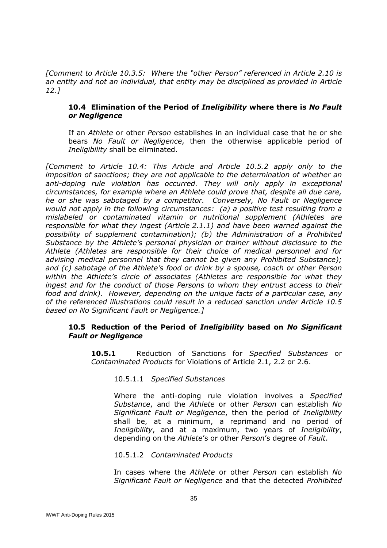*[Comment to Article 10.3.5: Where the "other Person" referenced in Article 2.10 is an entity and not an individual, that entity may be disciplined as provided in Article 12.]* 

#### **10.4 Elimination of the Period of** *Ineligibility* **where there is** *No Fault or Negligence*

If an *Athlete* or other *Person* establishes in an individual case that he or she bears *No Fault or Negligence*, then the otherwise applicable period of *Ineligibility* shall be eliminated.

*[Comment to Article 10.4: This Article and Article 10.5.2 apply only to the imposition of sanctions; they are not applicable to the determination of whether an anti-doping rule violation has occurred. They will only apply in exceptional circumstances, for example where an Athlete could prove that, despite all due care, he or she was sabotaged by a competitor. Conversely, No Fault or Negligence would not apply in the following circumstances: (a) a positive test resulting from a mislabeled or contaminated vitamin or nutritional supplement (Athletes are responsible for what they ingest (Article 2.1.1) and have been warned against the possibility of supplement contamination); (b) the Administration of a Prohibited Substance by the Athlete's personal physician or trainer without disclosure to the Athlete (Athletes are responsible for their choice of medical personnel and for advising medical personnel that they cannot be given any Prohibited Substance); and (c) sabotage of the Athlete's food or drink by a spouse, coach or other Person within the Athlete's circle of associates (Athletes are responsible for what they ingest and for the conduct of those Persons to whom they entrust access to their food and drink). However, depending on the unique facts of a particular case, any of the referenced illustrations could result in a reduced sanction under Article 10.5 based on No Significant Fault or Negligence.]* 

#### **10.5 Reduction of the Period of** *Ineligibility* **based on** *No Significant Fault or Negligence*

**10.5.1** Reduction of Sanctions for *Specified Substances* or *Contaminated Products* for Violations of Article 2.1, 2.2 or 2.6.

#### 10.5.1.1 *Specified Substances*

Where the anti-doping rule violation involves a *Specified Substance*, and the *Athlete* or other *Person* can establish *No Significant Fault or Negligence*, then the period of *Ineligibility* shall be, at a minimum, a reprimand and no period of *Ineligibility*, and at a maximum, two years of *Ineligibility*, depending on the *Athlete*'s or other *Person*'s degree of *Fault*.

#### 10.5.1.2 *Contaminated Products*

In cases where the *Athlete* or other *Person* can establish *No Significant Fault or Negligence* and that the detected *Prohibited*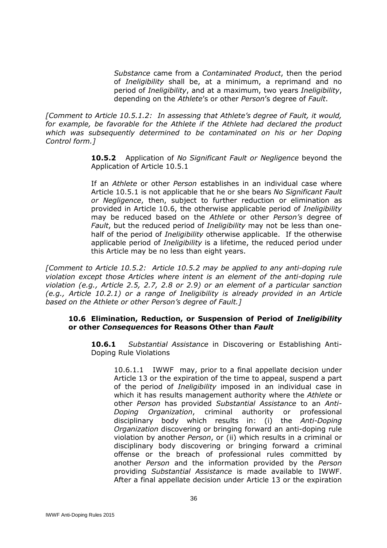*Substance* came from a *Contaminated Product*, then the period of *Ineligibility* shall be, at a minimum, a reprimand and no period of *Ineligibility*, and at a maximum, two years *Ineligibility*, depending on the *Athlete*'s or other *Person*'s degree of *Fault*.

*[Comment to Article 10.5.1.2: In assessing that Athlete's degree of Fault, it would, for example, be favorable for the Athlete if the Athlete had declared the product which was subsequently determined to be contaminated on his or her Doping Control form.]* 

> **10.5.2** Application of *No Significant Fault or Negligence* beyond the Application of Article 10.5.1

> If an *Athlete* or other *Person* establishes in an individual case where Article 10.5.1 is not applicable that he or she bears *No Significant Fault or Negligence*, then, subject to further reduction or elimination as provided in Article 10.6, the otherwise applicable period of *Ineligibility*  may be reduced based on the *Athlete* or other *Person's* degree of *Fault*, but the reduced period of *Ineligibility* may not be less than onehalf of the period of *Ineligibility* otherwise applicable. If the otherwise applicable period of *Ineligibility* is a lifetime, the reduced period under this Article may be no less than eight years.

*[Comment to Article 10.5.2: Article 10.5.2 may be applied to any anti-doping rule violation except those Articles where intent is an element of the anti-doping rule violation (e.g., Article 2.5, 2.7, 2.8 or 2.9) or an element of a particular sanction (e.g., Article 10.2.1) or a range of Ineligibility is already provided in an Article based on the Athlete or other Person's degree of Fault.]* 

#### **10.6 Elimination, Reduction, or Suspension of Period of** *Ineligibility*  **or other** *Consequences* **for Reasons Other than** *Fault*

**10.6.1** *Substantial Assistance* in Discovering or Establishing Anti-Doping Rule Violations

10.6.1.1IWWF may, prior to a final appellate decision under Article 13 or the expiration of the time to appeal, suspend a part of the period of *Ineligibility* imposed in an individual case in which it has results management authority where the *Athlete* or other *Person* has provided *Substantial Assistance* to an *Anti-Doping Organization*, criminal authority or professional disciplinary body which results in: (i) the *Anti-Doping Organization* discovering or bringing forward an anti-doping rule violation by another *Person*, or (ii) which results in a criminal or disciplinary body discovering or bringing forward a criminal offense or the breach of professional rules committed by another *Person* and the information provided by the *Person* providing *Substantial Assistance* is made available to IWWF. After a final appellate decision under Article 13 or the expiration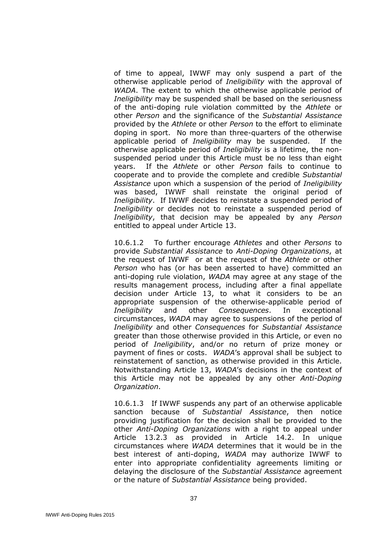of time to appeal, IWWF may only suspend a part of the otherwise applicable period of *Ineligibility* with the approval of *WADA*. The extent to which the otherwise applicable period of *Ineligibility* may be suspended shall be based on the seriousness of the anti-doping rule violation committed by the *Athlete* or other *Person* and the significance of the *Substantial Assistance* provided by the *Athlete* or other *Person* to the effort to eliminate doping in sport. No more than three-quarters of the otherwise applicable period of *Ineligibility* may be suspended. If the otherwise applicable period of *Ineligibility* is a lifetime, the nonsuspended period under this Article must be no less than eight years. If the *Athlete* or other *Person* fails to continue to cooperate and to provide the complete and credible *Substantial Assistance* upon which a suspension of the period of *Ineligibility* was based, IWWF shall reinstate the original period of *Ineligibility*. If IWWF decides to reinstate a suspended period of *Ineligibility* or decides not to reinstate a suspended period of *Ineligibility*, that decision may be appealed by any *Person* entitled to appeal under Article 13.

10.6.1.2 To further encourage *Athletes* and other *Persons* to provide *Substantial Assistance* to *Anti-Doping Organizations*, at the request of IWWF or at the request of the *Athlete* or other *Person* who has (or has been asserted to have) committed an anti-doping rule violation, *WADA* may agree at any stage of the results management process, including after a final appellate decision under Article 13, to what it considers to be an appropriate suspension of the otherwise-applicable period of *Ineligibility* and other *Consequences*. In exceptional circumstances, *WADA* may agree to suspensions of the period of *Ineligibility* and other *Consequences* for *Substantial Assistance* greater than those otherwise provided in this Article, or even no period of *Ineligibility*, and/or no return of prize money or payment of fines or costs. *WADA*'s approval shall be subject to reinstatement of sanction, as otherwise provided in this Article. Notwithstanding Article 13, *WADA*'s decisions in the context of this Article may not be appealed by any other *Anti-Doping Organization*.

10.6.1.3 If IWWF suspends any part of an otherwise applicable sanction because of *Substantial Assistance*, then notice providing justification for the decision shall be provided to the other *Anti-Doping Organizations* with a right to appeal under Article 13.2.3 as provided in Article 14.2. In unique circumstances where *WADA* determines that it would be in the best interest of anti-doping, *WADA* may authorize IWWF to enter into appropriate confidentiality agreements limiting or delaying the disclosure of the *Substantial Assistance* agreement or the nature of *Substantial Assistance* being provided.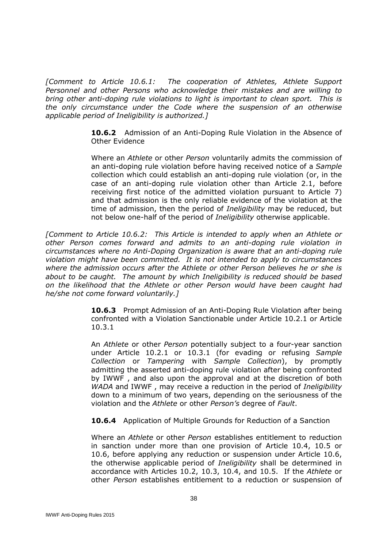*[Comment to Article 10.6.1: The cooperation of Athletes, Athlete Support Personnel and other Persons who acknowledge their mistakes and are willing to bring other anti-doping rule violations to light is important to clean sport. This is the only circumstance under the Code where the suspension of an otherwise applicable period of Ineligibility is authorized.]* 

> **10.6.2** Admission of an Anti-Doping Rule Violation in the Absence of Other Evidence

> Where an *Athlete* or other *Person* voluntarily admits the commission of an anti-doping rule violation before having received notice of a *Sample*  collection which could establish an anti-doping rule violation (or, in the case of an anti-doping rule violation other than Article 2.1, before receiving first notice of the admitted violation pursuant to Article 7) and that admission is the only reliable evidence of the violation at the time of admission, then the period of *Ineligibility* may be reduced, but not below one-half of the period of *Ineligibility* otherwise applicable.

*[Comment to Article 10.6.2: This Article is intended to apply when an Athlete or other Person comes forward and admits to an anti-doping rule violation in circumstances where no Anti-Doping Organization is aware that an anti-doping rule violation might have been committed. It is not intended to apply to circumstances where the admission occurs after the Athlete or other Person believes he or she is about to be caught. The amount by which Ineligibility is reduced should be based on the likelihood that the Athlete or other Person would have been caught had he/she not come forward voluntarily.]* 

> **10.6.3** Prompt Admission of an Anti-Doping Rule Violation after being confronted with a Violation Sanctionable under Article 10.2.1 or Article 10.3.1

> An *Athlete* or other *Person* potentially subject to a four-year sanction under Article 10.2.1 or 10.3.1 (for evading or refusing *Sample Collection* or *Tampering* with *Sample Collection*), by promptly admitting the asserted anti-doping rule violation after being confronted by IWWF , and also upon the approval and at the discretion of both *WADA* and IWWF , may receive a reduction in the period of *Ineligibility* down to a minimum of two years, depending on the seriousness of the violation and the *Athlete* or other *Person's* degree of *Fault*.

**10.6.4** Application of Multiple Grounds for Reduction of a Sanction

Where an *Athlete* or other *Person* establishes entitlement to reduction in sanction under more than one provision of Article 10.4, 10.5 or 10.6, before applying any reduction or suspension under Article 10.6, the otherwise applicable period of *Ineligibility* shall be determined in accordance with Articles 10.2, 10.3, 10.4, and 10.5. If the *Athlete* or other *Person* establishes entitlement to a reduction or suspension of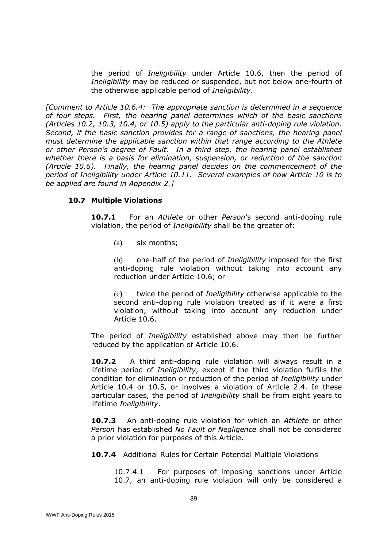the period of *Ineligibility* under Article 10.6, then the period of *Ineligibility* may be reduced or suspended, but not below one-fourth of the otherwise applicable period of *Ineligibility*.

*[Comment to Article 10.6.4: The appropriate sanction is determined in a sequence of four steps. First, the hearing panel determines which of the basic sanctions (Articles 10.2, 10.3, 10.4, or 10.5) apply to the particular anti-doping rule violation. Second, if the basic sanction provides for a range of sanctions, the hearing panel must determine the applicable sanction within that range according to the Athlete or other Person's degree of Fault. In a third step, the hearing panel establishes whether there is a basis for elimination, suspension, or reduction of the sanction (Article 10.6). Finally, the hearing panel decides on the commencement of the period of Ineligibility under Article 10.11. Several examples of how Article 10 is to be applied are found in Appendix 2.]* 

#### **10.7 Multiple Violations**

**10.7.1** For an *Athlete* or other *Person*'s second anti-doping rule violation, the period of *Ineligibility* shall be the greater of:

(a) six months;

(b) one-half of the period of *Ineligibility* imposed for the first anti-doping rule violation without taking into account any reduction under Article 10.6; or

(c) twice the period of *Ineligibility* otherwise applicable to the second anti-doping rule violation treated as if it were a first violation, without taking into account any reduction under Article 10.6.

The period of *Ineligibility* established above may then be further reduced by the application of Article 10.6.

**10.7.2** A third anti-doping rule violation will always result in a lifetime period of *Ineligibility*, except if the third violation fulfills the condition for elimination or reduction of the period of *Ineligibility* under Article 10.4 or 10.5, or involves a violation of Article 2.4. In these particular cases, the period of *Ineligibility* shall be from eight years to lifetime *Ineligibility*.

**10.7.3** An anti-doping rule violation for which an *Athlete* or other *Person* has established *No Fault or Negligence* shall not be considered a prior violation for purposes of this Article.

**10.7.4** Additional Rules for Certain Potential Multiple Violations

10.7.4.1 For purposes of imposing sanctions under Article 10.7, an anti-doping rule violation will only be considered a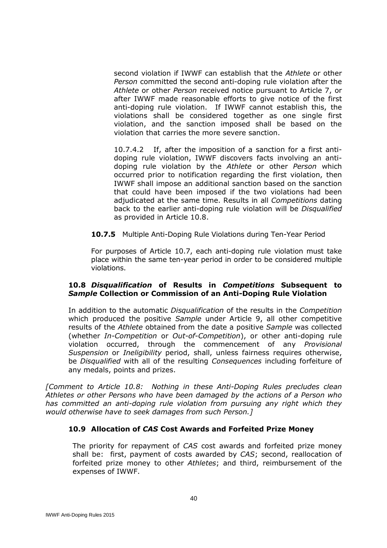second violation if IWWF can establish that the *Athlete* or other *Person* committed the second anti-doping rule violation after the *Athlete* or other *Person* received notice pursuant to Article 7, or after IWWF made reasonable efforts to give notice of the first anti-doping rule violation. If IWWF cannot establish this, the violations shall be considered together as one single first violation, and the sanction imposed shall be based on the violation that carries the more severe sanction.

10.7.4.2 If, after the imposition of a sanction for a first antidoping rule violation, IWWF discovers facts involving an antidoping rule violation by the *Athlete* or other *Person* which occurred prior to notification regarding the first violation, then IWWF shall impose an additional sanction based on the sanction that could have been imposed if the two violations had been adjudicated at the same time. Results in all *Competitions* dating back to the earlier anti-doping rule violation will be *Disqualified* as provided in Article 10.8.

**10.7.5** Multiple Anti-Doping Rule Violations during Ten-Year Period

For purposes of Article 10.7, each anti-doping rule violation must take place within the same ten-year period in order to be considered multiple violations.

# **10.8** *Disqualification* **of Results in** *Competitions* **Subsequent to**  *Sample* **Collection or Commission of an Anti-Doping Rule Violation**

In addition to the automatic *Disqualification* of the results in the *Competition* which produced the positive *Sample* under Article 9, all other competitive results of the *Athlete* obtained from the date a positive *Sample* was collected (whether *In-Competition* or *Out-of-Competition*), or other anti-doping rule violation occurred, through the commencement of any *Provisional Suspension* or *Ineligibility* period, shall, unless fairness requires otherwise, be *Disqualified* with all of the resulting *Consequences* including forfeiture of any medals, points and prizes.

*[Comment to Article 10.8: Nothing in these Anti-Doping Rules precludes clean Athletes or other Persons who have been damaged by the actions of a Person who has committed an anti-doping rule violation from pursuing any right which they would otherwise have to seek damages from such Person.]* 

#### **10.9 Allocation of** *CAS* **Cost Awards and Forfeited Prize Money**

The priority for repayment of *CAS* cost awards and forfeited prize money shall be: first, payment of costs awarded by *CAS*; second, reallocation of forfeited prize money to other *Athletes*; and third, reimbursement of the expenses of IWWF.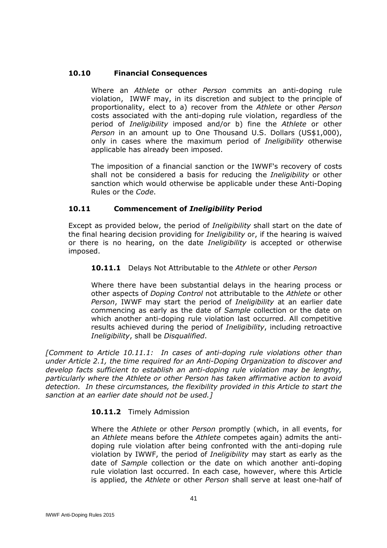# **10.10 Financial Consequences**

Where an *Athlete* or other *Person* commits an anti-doping rule violation, IWWF may, in its discretion and subject to the principle of proportionality, elect to a) recover from the *Athlete* or other *Person*  costs associated with the anti-doping rule violation, regardless of the period of *Ineligibility* imposed and/or b) fine the *Athlete* or other *Person* in an amount up to One Thousand U.S. Dollars (US\$1,000), only in cases where the maximum period of *Ineligibility* otherwise applicable has already been imposed.

The imposition of a financial sanction or the IWWF's recovery of costs shall not be considered a basis for reducing the *Ineligibility* or other sanction which would otherwise be applicable under these Anti-Doping Rules or the *Code*.

# **10.11 Commencement of** *Ineligibility* **Period**

Except as provided below, the period of *Ineligibility* shall start on the date of the final hearing decision providing for *Ineligibility* or, if the hearing is waived or there is no hearing, on the date *Ineligibility* is accepted or otherwise imposed.

# **10.11.1** Delays Not Attributable to the *Athlete* or other *Person*

Where there have been substantial delays in the hearing process or other aspects of *Doping Control* not attributable to the *Athlete* or other *Person*, IWWF may start the period of *Ineligibility* at an earlier date commencing as early as the date of *Sample* collection or the date on which another anti-doping rule violation last occurred. All competitive results achieved during the period of *Ineligibility*, including retroactive *Ineligibility*, shall be *Disqualified*.

*[Comment to Article 10.11.1: In cases of anti-doping rule violations other than under Article 2.1, the time required for an Anti-Doping Organization to discover and develop facts sufficient to establish an anti-doping rule violation may be lengthy, particularly where the Athlete or other Person has taken affirmative action to avoid detection. In these circumstances, the flexibility provided in this Article to start the sanction at an earlier date should not be used.]* 

#### **10.11.2** Timely Admission

Where the *Athlete* or other *Person* promptly (which, in all events, for an *Athlete* means before the *Athlete* competes again) admits the antidoping rule violation after being confronted with the anti-doping rule violation by IWWF, the period of *Ineligibility* may start as early as the date of *Sample* collection or the date on which another anti-doping rule violation last occurred. In each case, however, where this Article is applied, the *Athlete* or other *Person* shall serve at least one-half of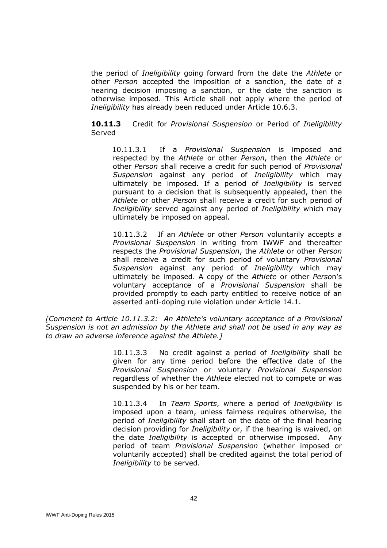the period of *Ineligibility* going forward from the date the *Athlete* or other *Person* accepted the imposition of a sanction, the date of a hearing decision imposing a sanction, or the date the sanction is otherwise imposed. This Article shall not apply where the period of *Ineligibility* has already been reduced under Article 10.6.3.

**10.11.3** Credit for *Provisional Suspension* or Period of *Ineligibility*  Served

10.11.3.1 If a *Provisional Suspension* is imposed and respected by the *Athlete* or other *Person*, then the *Athlete* or other *Person* shall receive a credit for such period of *Provisional Suspension* against any period of *Ineligibility* which may ultimately be imposed. If a period of *Ineligibility* is served pursuant to a decision that is subsequently appealed, then the *Athlete* or other *Person* shall receive a credit for such period of *Ineligibility* served against any period of *Ineligibility* which may ultimately be imposed on appeal.

10.11.3.2 If an *Athlete* or other *Person* voluntarily accepts a *Provisional Suspension* in writing from IWWF and thereafter respects the *Provisional Suspension*, the *Athlete* or other *Person* shall receive a credit for such period of voluntary *Provisional Suspension* against any period of *Ineligibility* which may ultimately be imposed. A copy of the *Athlete* or other *Perso*n's voluntary acceptance of a *Provisional Suspension* shall be provided promptly to each party entitled to receive notice of an asserted anti-doping rule violation under Article 14.1.

*[Comment to Article 10.11.3.2: An Athlete's voluntary acceptance of a Provisional Suspension is not an admission by the Athlete and shall not be used in any way as to draw an adverse inference against the Athlete.]* 

> 10.11.3.3 No credit against a period of *Ineligibility* shall be given for any time period before the effective date of the *Provisional Suspension* or voluntary *Provisional Suspension* regardless of whether the *Athlete* elected not to compete or was suspended by his or her team.

> 10.11.3.4 In *Team Sports*, where a period of *Ineligibility* is imposed upon a team, unless fairness requires otherwise, the period of *Ineligibility* shall start on the date of the final hearing decision providing for *Ineligibility* or, if the hearing is waived, on the date *Ineligibility* is accepted or otherwise imposed. Any period of team *Provisional Suspension* (whether imposed or voluntarily accepted) shall be credited against the total period of *Ineligibility* to be served.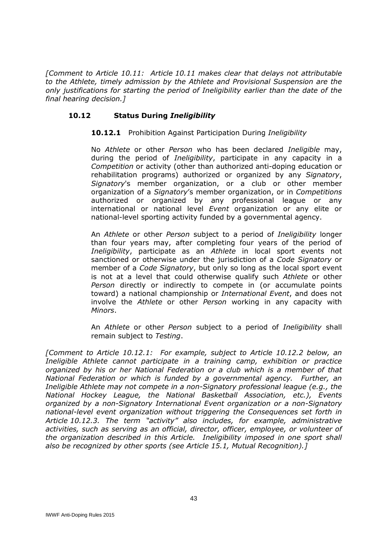*[Comment to Article 10.11: Article 10.11 makes clear that delays not attributable to the Athlete, timely admission by the Athlete and Provisional Suspension are the only justifications for starting the period of Ineligibility earlier than the date of the final hearing decision.]* 

# **10.12 Status During** *Ineligibility*

# **10.12.1** Prohibition Against Participation During *Ineligibility*

No *Athlete* or other *Person* who has been declared *Ineligible* may, during the period of *Ineligibility*, participate in any capacity in a *Competition* or activity (other than authorized anti-doping education or rehabilitation programs) authorized or organized by any *Signatory*, *Signatory*'s member organization, or a club or other member organization of a *Signatory*'s member organization, or in *Competitions* authorized or organized by any professional league or any international or national level *Event* organization or any elite or national-level sporting activity funded by a governmental agency.

An *Athlete* or other *Person* subject to a period of *Ineligibility* longer than four years may, after completing four years of the period of *Ineligibility*, participate as an *Athlete* in local sport events not sanctioned or otherwise under the jurisdiction of a *Code Signatory* or member of a *Code Signatory*, but only so long as the local sport event is not at a level that could otherwise qualify such *Athlete* or other *Person* directly or indirectly to compete in (or accumulate points toward) a national championship or *International Event*, and does not involve the *Athlete* or other *Person* working in any capacity with *Minors*.

An *Athlete* or other *Person* subject to a period of *Ineligibility* shall remain subject to *Testing*.

*[Comment to Article 10.12.1: For example, subject to Article 10.12.2 below, an Ineligible Athlete cannot participate in a training camp, exhibition or practice organized by his or her National Federation or a club which is a member of that National Federation or which is funded by a governmental agency. Further, an Ineligible Athlete may not compete in a non-Signatory professional league (e.g., the National Hockey League, the National Basketball Association, etc.), Events organized by a non-Signatory International Event organization or a non-Signatory national-level event organization without triggering the Consequences set forth in Article 10.12.3. The term "activity" also includes, for example, administrative activities, such as serving as an official, director, officer, employee, or volunteer of the organization described in this Article. Ineligibility imposed in one sport shall also be recognized by other sports (see Article 15.1, Mutual Recognition).]*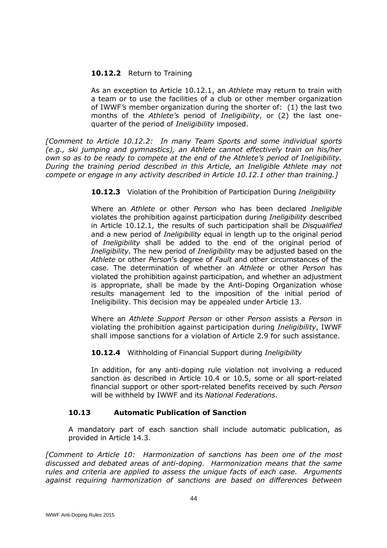# **10.12.2** Return to Training

As an exception to Article 10.12.1, an *Athlete* may return to train with a team or to use the facilities of a club or other member organization of IWWF*'s* member organization during the shorter of: (1) the last two months of the *Athlete's* period of *Ineligibility*, or (2) the last onequarter of the period of *Ineligibility* imposed.

*[Comment to Article 10.12.2: In many Team Sports and some individual sports (e.g., ski jumping and gymnastics), an Athlete cannot effectively train on his/her own so as to be ready to compete at the end of the Athlete's period of Ineligibility. During the training period described in this Article, an Ineligible Athlete may not compete or engage in any activity described in Article 10.12.1 other than training.]* 

**10.12.3** Violation of the Prohibition of Participation During *Ineligibility*

Where an *Athlete* or other *Person* who has been declared *Ineligible* violates the prohibition against participation during *Ineligibility* described in Article 10.12.1, the results of such participation shall be *Disqualified* and a new period of *Ineligibility* equal in length up to the original period of *Ineligibility* shall be added to the end of the original period of *Ineligibility*. The new period of *Ineligibility* may be adjusted based on the *Athlete* or other *Person*'s degree of *Fault* and other circumstances of the case. The determination of whether an *Athlete* or other *Person* has violated the prohibition against participation, and whether an adjustment is appropriate, shall be made by the Anti-Doping Organization whose results management led to the imposition of the initial period of Ineligibility. This decision may be appealed under Article 13.

Where an *Athlete Support Person* or other *Person* assists a *Person* in violating the prohibition against participation during *Ineligibility*, IWWF shall impose sanctions for a violation of Article 2.9 for such assistance.

**10.12.4** Withholding of Financial Support during *Ineligibility*

In addition, for any anti-doping rule violation not involving a reduced sanction as described in Article 10.4 or 10.5, some or all sport-related financial support or other sport-related benefits received by such *Person* will be withheld by IWWF and its *National Federations*.

# **10.13 Automatic Publication of Sanction**

A mandatory part of each sanction shall include automatic publication, as provided in Article 14.3.

*[Comment to Article 10: Harmonization of sanctions has been one of the most discussed and debated areas of anti-doping. Harmonization means that the same rules and criteria are applied to assess the unique facts of each case. Arguments against requiring harmonization of sanctions are based on differences between*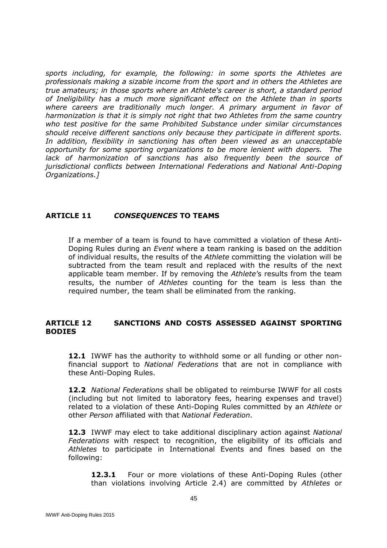*sports including, for example, the following: in some sports the Athletes are professionals making a sizable income from the sport and in others the Athletes are true amateurs; in those sports where an Athlete's career is short, a standard period of Ineligibility has a much more significant effect on the Athlete than in sports where careers are traditionally much longer. A primary argument in favor of harmonization is that it is simply not right that two Athletes from the same country who test positive for the same Prohibited Substance under similar circumstances should receive different sanctions only because they participate in different sports. In addition, flexibility in sanctioning has often been viewed as an unacceptable opportunity for some sporting organizations to be more lenient with dopers. The*  lack of harmonization of sanctions has also frequently been the source of *jurisdictional conflicts between International Federations and National Anti-Doping Organizations.]* 

# **ARTICLE 11** *CONSEQUENCES* **TO TEAMS**

If a member of a team is found to have committed a violation of these Anti-Doping Rules during an *Event* where a team ranking is based on the addition of individual results, the results of the *Athlete* committing the violation will be subtracted from the team result and replaced with the results of the next applicable team member. If by removing the *Athlete'*s results from the team results, the number of *Athletes* counting for the team is less than the required number, the team shall be eliminated from the ranking.

# **ARTICLE 12 SANCTIONS AND COSTS ASSESSED AGAINST SPORTING BODIES**

**12.1** IWWF has the authority to withhold some or all funding or other nonfinancial support to *National Federations* that are not in compliance with these Anti-Doping Rules.

**12.2** *National Federations* shall be obligated to reimburse IWWF for all costs (including but not limited to laboratory fees, hearing expenses and travel) related to a violation of these Anti-Doping Rules committed by an *Athlete* or other *Person* affiliated with that *National Federation*.

**12.3** IWWF may elect to take additional disciplinary action against *National Federations* with respect to recognition, the eligibility of its officials and *Athletes* to participate in International Events and fines based on the following:

**12.3.1** Four or more violations of these Anti-Doping Rules (other than violations involving Article 2.4) are committed by *Athletes* or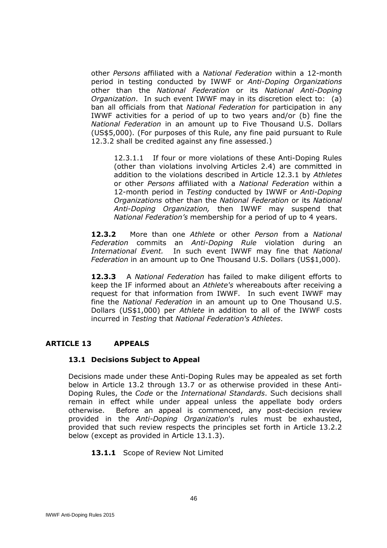other *Persons* affiliated with a *National Federation* within a 12-month period in testing conducted by IWWF or *Anti-Doping Organizations* other than the *National Federation* or its *National Anti-Doping Organization*. In such event IWWF may in its discretion elect to: (a) ban all officials from that *National Federation* for participation in any IWWF activities for a period of up to two years and/or (b) fine the *National Federation* in an amount up to Five Thousand U.S. Dollars (US\$5,000). (For purposes of this Rule, any fine paid pursuant to Rule 12.3.2 shall be credited against any fine assessed.)

12.3.1.1 If four or more violations of these Anti-Doping Rules (other than violations involving Articles 2.4) are committed in addition to the violations described in Article 12.3.1 by *Athletes* or other *Persons* affiliated with a *National Federation* within a 12-month period in *Testing* conducted by IWWF or *Anti-Doping Organizations* other than the *National Federation* or its *National Anti-Doping Organization,* then IWWF may suspend that *National Federation's* membership for a period of up to 4 years.

**12.3.2** More than one *Athlete* or other *Person* from a *National Federation* commits an *Anti-Doping Rule* violation during an *International Event.* In such event IWWF may fine that *National Federation* in an amount up to One Thousand U.S. Dollars (US\$1,000).

**12.3.3** A *National Federation* has failed to make diligent efforts to keep the IF informed about an *Athlete's* whereabouts after receiving a request for that information from IWWF. In such event IWWF may fine the *National Federation* in an amount up to One Thousand U.S. Dollars (US\$1,000) per *Athlete* in addition to all of the IWWF costs incurred in *Testing* that *National Federation's Athletes*.

# **ARTICLE 13 APPEALS**

#### **13.1 Decisions Subject to Appeal**

Decisions made under these Anti-Doping Rules may be appealed as set forth below in Article 13.2 through 13.7 or as otherwise provided in these Anti-Doping Rules, the *Code* or the *International Standards*. Such decisions shall remain in effect while under appeal unless the appellate body orders otherwise. Before an appeal is commenced, any post-decision review provided in the *Anti-Doping Organization*'s rules must be exhausted, provided that such review respects the principles set forth in Article 13.2.2 below (except as provided in Article 13.1.3).

#### 13.1.1 Scope of Review Not Limited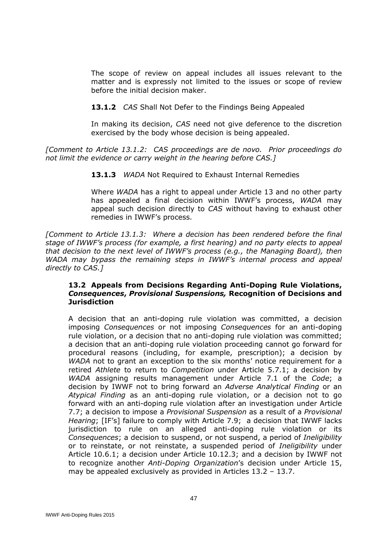The scope of review on appeal includes all issues relevant to the matter and is expressly not limited to the issues or scope of review before the initial decision maker.

**13.1.2** *CAS* Shall Not Defer to the Findings Being Appealed

In making its decision, *CAS* need not give deference to the discretion exercised by the body whose decision is being appealed.

*[Comment to Article 13.1.2: CAS proceedings are de novo. Prior proceedings do not limit the evidence or carry weight in the hearing before CAS.]* 

**13.1.3** *WADA* Not Required to Exhaust Internal Remedies

Where *WADA* has a right to appeal under Article 13 and no other party has appealed a final decision within IWWF's process, *WADA* may appeal such decision directly to *CAS* without having to exhaust other remedies in IWWF's process.

*[Comment to Article 13.1.3: Where a decision has been rendered before the final stage of IWWF's process (for example, a first hearing) and no party elects to appeal that decision to the next level of IWWF's process (e.g., the Managing Board), then WADA may bypass the remaining steps in IWWF's internal process and appeal directly to CAS.]* 

#### **13.2 Appeals from Decisions Regarding Anti-Doping Rule Violations,**  *Consequences***,** *Provisional Suspensions,* **Recognition of Decisions and Jurisdiction**

A decision that an anti-doping rule violation was committed, a decision imposing *Consequences* or not imposing *Consequences* for an anti-doping rule violation, or a decision that no anti-doping rule violation was committed; a decision that an anti-doping rule violation proceeding cannot go forward for procedural reasons (including, for example, prescription); a decision by *WADA* not to grant an exception to the six months' notice requirement for a retired *Athlete* to return to *Competition* under Article 5.7.1; a decision by *WADA* assigning results management under Article 7.1 of the *Code*; a decision by IWWF not to bring forward an *Adverse Analytical Finding* or an *Atypical Finding* as an anti-doping rule violation, or a decision not to go forward with an anti-doping rule violation after an investigation under Article 7.7; a decision to impose a *Provisional Suspension* as a result of a *Provisional Hearing*; [IF's] failure to comply with Article 7.9; a decision that IWWF lacks jurisdiction to rule on an alleged anti-doping rule violation or its *Consequences*; a decision to suspend, or not suspend, a period of *Ineligibility* or to reinstate, or not reinstate, a suspended period of *Ineligibility* under Article 10.6.1; a decision under Article 10.12.3; and a decision by IWWF not to recognize another *Anti-Doping Organization*'s decision under Article 15, may be appealed exclusively as provided in Articles 13.2 – 13.7.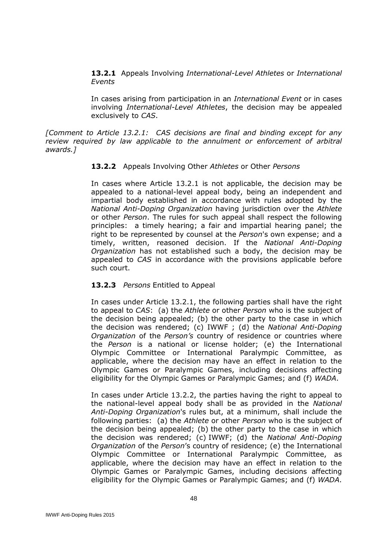**13.2.1** Appeals Involving *International-Level Athletes* or *International Events*

In cases arising from participation in an *International Event* or in cases involving *International-Level Athletes*, the decision may be appealed exclusively to *CAS*.

*[Comment to Article 13.2.1: CAS decisions are final and binding except for any review required by law applicable to the annulment or enforcement of arbitral awards.]* 

#### **13.2.2** Appeals Involving Other *Athletes* or Other *Persons*

In cases where Article 13.2.1 is not applicable, the decision may be appealed to a national-level appeal body, being an independent and impartial body established in accordance with rules adopted by the *National Anti-Doping Organization* having jurisdiction over the *Athlete* or other *Person*. The rules for such appeal shall respect the following principles: a timely hearing; a fair and impartial hearing panel; the right to be represented by counsel at the *Person*'s own expense; and a timely, written, reasoned decision. If the *National Anti-Doping Organization* has not established such a body, the decision may be appealed to *CAS* in accordance with the provisions applicable before such court.

#### **13.2.3** *Persons* Entitled to Appeal

In cases under Article 13.2.1, the following parties shall have the right to appeal to *CAS*: (a) the *Athlete* or other *Person* who is the subject of the decision being appealed; (b) the other party to the case in which the decision was rendered; (c) IWWF ; (d) the *National Anti-Doping Organization* of the *Person's* country of residence or countries where the *Person* is a national or license holder; (e) the International Olympic Committee or International Paralympic Committee, as applicable, where the decision may have an effect in relation to the Olympic Games or Paralympic Games, including decisions affecting eligibility for the Olympic Games or Paralympic Games; and (f) *WADA*.

In cases under Article 13.2.2, the parties having the right to appeal to the national-level appeal body shall be as provided in the *National Anti-Doping Organization*'s rules but, at a minimum, shall include the following parties: (a) the *Athlete* or other *Person* who is the subject of the decision being appealed; (b) the other party to the case in which the decision was rendered; (c) IWWF; (d) the *National Anti-Doping Organization* of the *Person*'s country of residence; (e) the International Olympic Committee or International Paralympic Committee, as applicable, where the decision may have an effect in relation to the Olympic Games or Paralympic Games, including decisions affecting eligibility for the Olympic Games or Paralympic Games; and (f) *WADA*.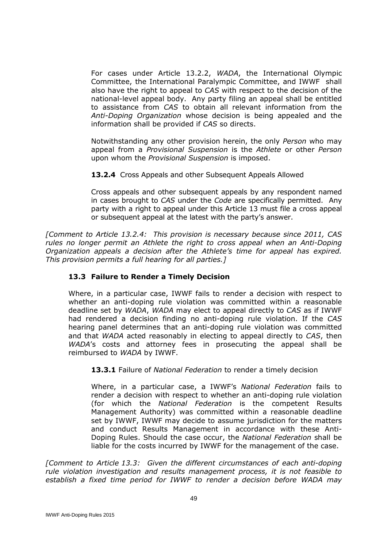For cases under Article 13.2.2, *WADA*, the International Olympic Committee, the International Paralympic Committee, and IWWF shall also have the right to appeal to *CAS* with respect to the decision of the national-level appeal body. Any party filing an appeal shall be entitled to assistance from *CAS* to obtain all relevant information from the *Anti-Doping Organization* whose decision is being appealed and the information shall be provided if *CAS* so directs.

Notwithstanding any other provision herein, the only *Person* who may appeal from a *Provisional Suspension* is the *Athlete* or other *Person* upon whom the *Provisional Suspension* is imposed.

**13.2.4** Cross Appeals and other Subsequent Appeals Allowed

Cross appeals and other subsequent appeals by any respondent named in cases brought to *CAS* under the *Code* are specifically permitted. Any party with a right to appeal under this Article 13 must file a cross appeal or subsequent appeal at the latest with the party's answer.

*[Comment to Article 13.2.4: This provision is necessary because since 2011, CAS rules no longer permit an Athlete the right to cross appeal when an Anti-Doping Organization appeals a decision after the Athlete's time for appeal has expired. This provision permits a full hearing for all parties.]* 

# **13.3 Failure to Render a Timely Decision**

Where, in a particular case, IWWF fails to render a decision with respect to whether an anti-doping rule violation was committed within a reasonable deadline set by *WADA*, *WADA* may elect to appeal directly to *CAS* as if IWWF had rendered a decision finding no anti-doping rule violation. If the *CAS* hearing panel determines that an anti-doping rule violation was committed and that *WADA* acted reasonably in electing to appeal directly to *CAS*, then *WADA*'s costs and attorney fees in prosecuting the appeal shall be reimbursed to *WADA* by IWWF.

**13.3.1** Failure of *National Federation* to render a timely decision

Where, in a particular case, a IWWF's *National Federation* fails to render a decision with respect to whether an anti-doping rule violation (for which the *National Federation* is the competent Results Management Authority) was committed within a reasonable deadline set by IWWF, IWWF may decide to assume jurisdiction for the matters and conduct Results Management in accordance with these Anti-Doping Rules. Should the case occur, the *National Federation* shall be liable for the costs incurred by IWWF for the management of the case.

*[Comment to Article 13.3: Given the different circumstances of each anti-doping rule violation investigation and results management process, it is not feasible to establish a fixed time period for IWWF to render a decision before WADA may*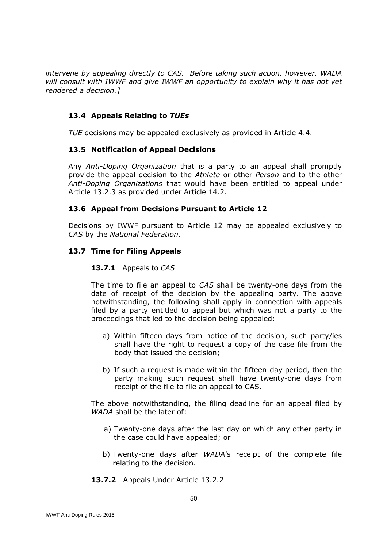*intervene by appealing directly to CAS. Before taking such action, however, WADA will consult with IWWF and give IWWF an opportunity to explain why it has not yet rendered a decision.]* 

# **13.4 Appeals Relating to** *TUEs*

*TUE* decisions may be appealed exclusively as provided in Article 4.4.

#### **13.5 Notification of Appeal Decisions**

Any *Anti-Doping Organization* that is a party to an appeal shall promptly provide the appeal decision to the *Athlete* or other *Person* and to the other *Anti-Doping Organizations* that would have been entitled to appeal under Article 13.2.3 as provided under Article 14.2.

# **13.6 Appeal from Decisions Pursuant to Article 12**

Decisions by IWWF pursuant to Article 12 may be appealed exclusively to *CAS* by the *National Federation*.

# **13.7 Time for Filing Appeals**

#### **13.7.1** Appeals to *CAS*

The time to file an appeal to *CAS* shall be twenty-one days from the date of receipt of the decision by the appealing party. The above notwithstanding, the following shall apply in connection with appeals filed by a party entitled to appeal but which was not a party to the proceedings that led to the decision being appealed:

- a) Within fifteen days from notice of the decision, such party/ies shall have the right to request a copy of the case file from the body that issued the decision;
- b) If such a request is made within the fifteen-day period, then the party making such request shall have twenty-one days from receipt of the file to file an appeal to CAS.

The above notwithstanding, the filing deadline for an appeal filed by *WADA* shall be the later of:

- a) Twenty-one days after the last day on which any other party in the case could have appealed; or
- b) Twenty-one days after *WADA*'s receipt of the complete file relating to the decision.
- **13.7.2** Appeals Under Article 13.2.2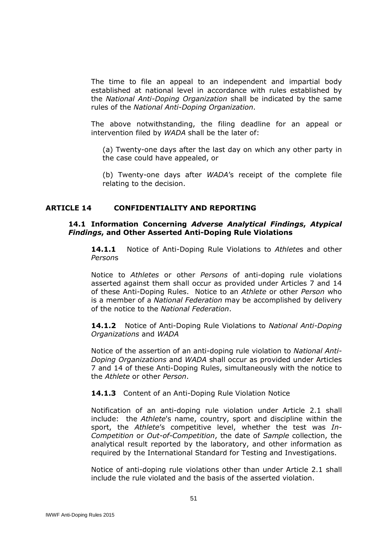The time to file an appeal to an independent and impartial body established at national level in accordance with rules established by the *National Anti-Doping Organization* shall be indicated by the same rules of the *National Anti-Doping Organization*.

The above notwithstanding, the filing deadline for an appeal or intervention filed by *WADA* shall be the later of:

(a) Twenty-one days after the last day on which any other party in the case could have appealed, or

(b) Twenty-one days after *WADA*'s receipt of the complete file relating to the decision.

#### **ARTICLE 14 CONFIDENTIALITY AND REPORTING**

#### **14.1 Information Concerning** *Adverse Analytical Findings***,** *Atypical Findings***, and Other Asserted Anti-Doping Rule Violations**

**14.1.1** Notice of Anti-Doping Rule Violations to *Athlete*s and other *Person*s

Notice to *Athletes* or other *Persons* of anti-doping rule violations asserted against them shall occur as provided under Articles 7 and 14 of these Anti-Doping Rules. Notice to an *Athlete* or other *Person* who is a member of a *National Federation* may be accomplished by delivery of the notice to the *National Federation*.

**14.1.2** Notice of Anti-Doping Rule Violations to *National Anti-Doping Organizations* and *WADA*

Notice of the assertion of an anti-doping rule violation to *National Anti-Doping Organizations* and *WADA* shall occur as provided under Articles 7 and 14 of these Anti-Doping Rules, simultaneously with the notice to the *Athlete* or other *Person*.

#### **14.1.3** Content of an Anti-Doping Rule Violation Notice

Notification of an anti-doping rule violation under Article 2.1 shall include: the *Athlete*'s name, country, sport and discipline within the sport, the *Athlete*'s competitive level, whether the test was *In-Competition* or *Out-of-Competition*, the date of *Sample* collection, the analytical result reported by the laboratory, and other information as required by the International Standard for Testing and Investigations.

Notice of anti-doping rule violations other than under Article 2.1 shall include the rule violated and the basis of the asserted violation.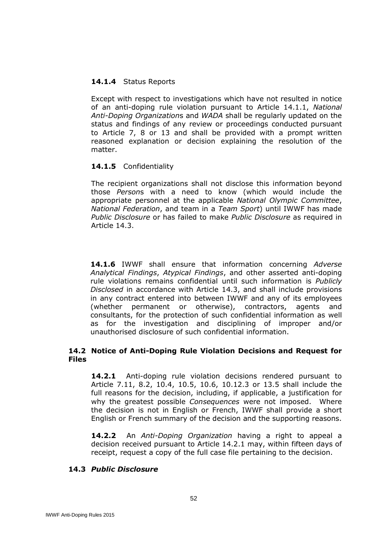# **14.1.4** Status Reports

Except with respect to investigations which have not resulted in notice of an anti-doping rule violation pursuant to Article 14.1.1, *National Anti-Doping Organization*s and *WADA* shall be regularly updated on the status and findings of any review or proceedings conducted pursuant to Article 7, 8 or 13 and shall be provided with a prompt written reasoned explanation or decision explaining the resolution of the matter.

# **14.1.5** Confidentiality

The recipient organizations shall not disclose this information beyond those *Person*s with a need to know (which would include the appropriate personnel at the applicable *National Olympic Committee*, *National Federation*, and team in a *Team Sport*) until IWWF has made *Public Disclosure* or has failed to make *Public Disclosure* as required in Article 14.3.

**14.1.6** IWWF shall ensure that information concerning *Adverse Analytical Findings*, *Atypical Findings*, and other asserted anti-doping rule violations remains confidential until such information is *Publicly Disclosed* in accordance with Article 14.3, and shall include provisions in any contract entered into between IWWF and any of its employees (whether permanent or otherwise), contractors, agents and consultants, for the protection of such confidential information as well as for the investigation and disciplining of improper and/or unauthorised disclosure of such confidential information.

# **14.2 Notice of Anti-Doping Rule Violation Decisions and Request for Files**

**14.2.1** Anti-doping rule violation decisions rendered pursuant to Article 7.11, 8.2, 10.4, 10.5, 10.6, 10.12.3 or 13.5 shall include the full reasons for the decision, including, if applicable, a justification for why the greatest possible *Consequences* were not imposed. Where the decision is not in English or French, IWWF shall provide a short English or French summary of the decision and the supporting reasons.

**14.2.2** An *Anti-Doping Organization* having a right to appeal a decision received pursuant to Article 14.2.1 may, within fifteen days of receipt, request a copy of the full case file pertaining to the decision.

# **14.3** *Public Disclosure*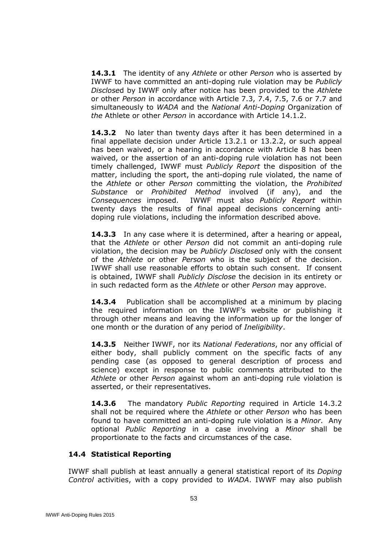**14.3.1** The identity of any *Athlete* or other *Person* who is asserted by IWWF to have committed an anti-doping rule violation may be *Publicly Disclose*d by IWWF only after notice has been provided to the *Athlete* or other *Person* in accordance with Article 7.3, 7.4, 7.5, 7.6 or 7.7 and simultaneously to *WADA* and the *National Anti-Doping* Organization of *the* Athlete or other *Person* in accordance with Article 14.1.2.

**14.3.2** No later than twenty days after it has been determined in a final appellate decision under Article 13.2.1 or 13.2.2, or such appeal has been waived, or a hearing in accordance with Article 8 has been waived, or the assertion of an anti-doping rule violation has not been timely challenged, IWWF must *Publicly Report* the disposition of the matter, including the sport, the anti-doping rule violated, the name of the *Athlete* or other *Person* committing the violation, the *Prohibited Substance* or *Prohibited Method* involved (if any), and the *Consequences* imposed. IWWF must also *Publicly Report* within twenty days the results of final appeal decisions concerning antidoping rule violations, including the information described above.

**14.3.3** In any case where it is determined, after a hearing or appeal, that the *Athlete* or other *Person* did not commit an anti-doping rule violation, the decision may be *Publicly Disclosed* only with the consent of the *Athlete* or other *Person* who is the subject of the decision. IWWF shall use reasonable efforts to obtain such consent. If consent is obtained, IWWF shall *Publicly Disclose* the decision in its entirety or in such redacted form as the *Athlete* or other *Person* may approve.

14.3.4 Publication shall be accomplished at a minimum by placing the required information on the IWWF's website or publishing it through other means and leaving the information up for the longer of one month or the duration of any period of *Ineligibility*.

**14.3.5** Neither IWWF, nor its *National Federations*, nor any official of either body, shall publicly comment on the specific facts of any pending case (as opposed to general description of process and science) except in response to public comments attributed to the *Athlete* or other *Person* against whom an anti-doping rule violation is asserted, or their representatives.

**14.3.6** The mandatory *Public Reporting* required in Article 14.3.2 shall not be required where the *Athlete* or other *Person* who has been found to have committed an anti-doping rule violation is a *Minor*. Any optional *Public Reporting* in a case involving a *Minor* shall be proportionate to the facts and circumstances of the case.

# **14.4 Statistical Reporting**

IWWF shall publish at least annually a general statistical report of its *Doping Control* activities, with a copy provided to *WADA*. IWWF may also publish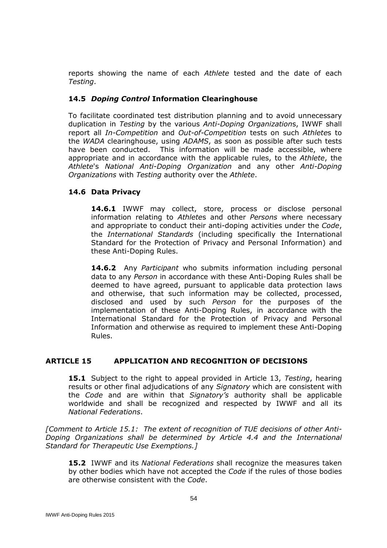reports showing the name of each *Athlete* tested and the date of each *Testing*.

# **14.5** *Doping Control* **Information Clearinghouse**

To facilitate coordinated test distribution planning and to avoid unnecessary duplication in *Testing* by the various *Anti-Doping Organization*s, IWWF shall report all *In-Competition* and *Out-of-Competition* tests on such *Athlete*s to the *WADA* clearinghouse, using *ADAMS*, as soon as possible after such tests have been conducted. This information will be made accessible, where appropriate and in accordance with the applicable rules, to the *Athlete*, the *Athlete*'s *National Anti-Doping Organization* and any other *Anti-Doping Organizations* with *Testing* authority over the *Athlete*.

# **14.6 Data Privacy**

14.6.1 IWWF may collect, store, process or disclose personal information relating to *Athlete*s and other *Persons* where necessary and appropriate to conduct their anti-doping activities under the *Code*, the *International Standards* (including specifically the International Standard for the Protection of Privacy and Personal Information) and these Anti-Doping Rules.

**14.6.2** Any *Participant* who submits information including personal data to any *Person* in accordance with these Anti-Doping Rules shall be deemed to have agreed, pursuant to applicable data protection laws and otherwise, that such information may be collected, processed, disclosed and used by such *Person* for the purposes of the implementation of these Anti-Doping Rules, in accordance with the International Standard for the Protection of Privacy and Personal Information and otherwise as required to implement these Anti-Doping Rules.

#### **ARTICLE 15 APPLICATION AND RECOGNITION OF DECISIONS**

**15.1** Subject to the right to appeal provided in Article 13, *Testing*, hearing results or other final adjudications of any *Signatory* which are consistent with the *Code* and are within that *Signatory's* authority shall be applicable worldwide and shall be recognized and respected by IWWF and all its *National Federations*.

*[Comment to Article 15.1: The extent of recognition of TUE decisions of other Anti-Doping Organizations shall be determined by Article 4.4 and the International Standard for Therapeutic Use Exemptions.]* 

**15.2** IWWF and its *National Federations* shall recognize the measures taken by other bodies which have not accepted the *Code* if the rules of those bodies are otherwise consistent with the *Code*.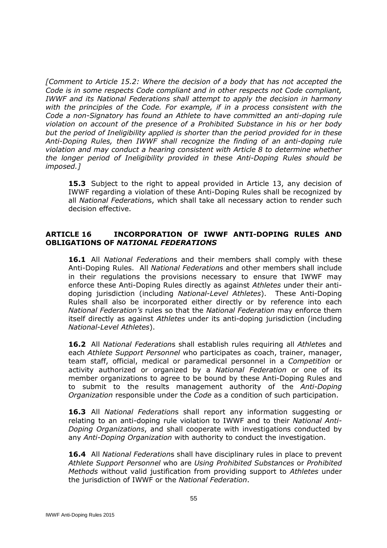*[Comment to Article 15.2: Where the decision of a body that has not accepted the Code is in some respects Code compliant and in other respects not Code compliant, IWWF and its National Federations shall attempt to apply the decision in harmony with the principles of the Code. For example, if in a process consistent with the Code a non-Signatory has found an Athlete to have committed an anti-doping rule violation on account of the presence of a Prohibited Substance in his or her body but the period of Ineligibility applied is shorter than the period provided for in these Anti-Doping Rules, then IWWF shall recognize the finding of an anti-doping rule violation and may conduct a hearing consistent with Article 8 to determine whether the longer period of Ineligibility provided in these Anti-Doping Rules should be imposed.]* 

**15.3** Subject to the right to appeal provided in Article 13, any decision of IWWF regarding a violation of these Anti-Doping Rules shall be recognized by all *National Federation*s, which shall take all necessary action to render such decision effective.

# **ARTICLE 16 INCORPORATION OF IWWF ANTI-DOPING RULES AND OBLIGATIONS OF** *NATIONAL FEDERATIONS*

**16.1** All *National Federation*s and their members shall comply with these Anti-Doping Rules. All *National Federation*s and other members shall include in their regulations the provisions necessary to ensure that IWWF may enforce these Anti-Doping Rules directly as against *Athletes* under their antidoping jurisdiction (including *National-Level Athletes*). These Anti-Doping Rules shall also be incorporated either directly or by reference into each *National Federation's* rules so that the *National Federation* may enforce them itself directly as against *Athletes* under its anti-doping jurisdiction (including *National-Level Athletes*).

**16.2** All *National Federation*s shall establish rules requiring all *Athlete*s and each *Athlete Support Personnel* who participates as coach, trainer, manager, team staff, official, medical or paramedical personnel in a *Competition* or activity authorized or organized by a *National Federation* or one of its member organizations to agree to be bound by these Anti-Doping Rules and to submit to the results management authority of the *Anti-Doping Organization* responsible under the *Code* as a condition of such participation.

**16.3** All *National Federation*s shall report any information suggesting or relating to an anti-doping rule violation to IWWF and to their *National Anti-Doping Organizations*, and shall cooperate with investigations conducted by any *Anti-Doping Organization* with authority to conduct the investigation.

**16.4** All *National Federation*s shall have disciplinary rules in place to prevent *Athlete Support Personnel* who are *Using Prohibited Substances* or *Prohibited Methods* without valid justification from providing support to *Athletes* under the jurisdiction of IWWF or the *National Federation*.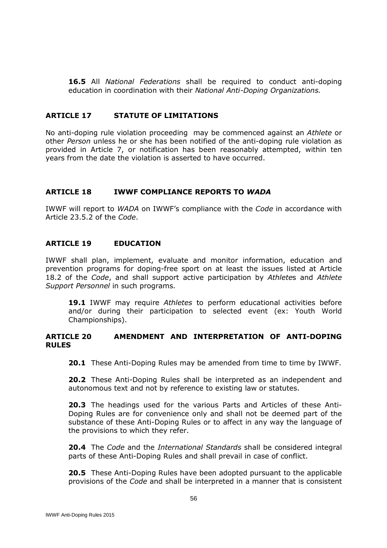**16.5** All *National Federations* shall be required to conduct anti-doping education in coordination with their *National Anti-Doping Organizations.* 

# **ARTICLE 17 STATUTE OF LIMITATIONS**

No anti-doping rule violation proceeding may be commenced against an *Athlete* or other *Person* unless he or she has been notified of the anti-doping rule violation as provided in Article 7, or notification has been reasonably attempted, within ten years from the date the violation is asserted to have occurred.

#### **ARTICLE 18 IWWF COMPLIANCE REPORTS TO** *WADA*

IWWF will report to *WADA* on IWWF's compliance with the *Code* in accordance with Article 23.5.2 of the *Code*.

#### **ARTICLE 19 EDUCATION**

IWWF shall plan, implement, evaluate and monitor information, education and prevention programs for doping-free sport on at least the issues listed at Article 18.2 of the *Code*, and shall support active participation by *Athlete*s and *Athlete Support Personnel* in such programs.

**19.1** IWWF may require *Athletes* to perform educational activities before and/or during their participation to selected event (ex: Youth World Championships).

#### **ARTICLE 20 AMENDMENT AND INTERPRETATION OF ANTI-DOPING RULES**

**20.1** These Anti-Doping Rules may be amended from time to time by IWWF.

**20.2** These Anti-Doping Rules shall be interpreted as an independent and autonomous text and not by reference to existing law or statutes.

**20.3** The headings used for the various Parts and Articles of these Anti-Doping Rules are for convenience only and shall not be deemed part of the substance of these Anti-Doping Rules or to affect in any way the language of the provisions to which they refer.

**20.4** The *Code* and the *International Standards* shall be considered integral parts of these Anti-Doping Rules and shall prevail in case of conflict.

**20.5** These Anti-Doping Rules have been adopted pursuant to the applicable provisions of the *Code* and shall be interpreted in a manner that is consistent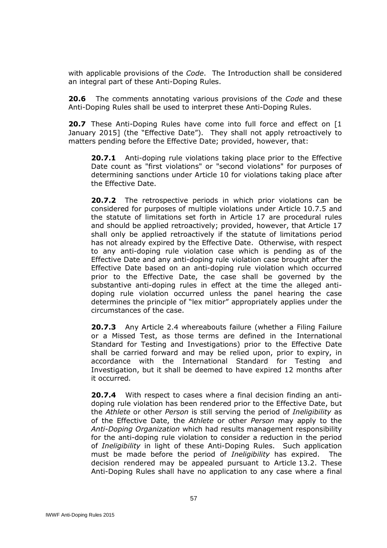with applicable provisions of the *Code*. The Introduction shall be considered an integral part of these Anti-Doping Rules.

**20.6** The comments annotating various provisions of the *Code* and these Anti-Doping Rules shall be used to interpret these Anti-Doping Rules.

**20.7** These Anti-Doping Rules have come into full force and effect on [1 January 2015] (the "Effective Date"). They shall not apply retroactively to matters pending before the Effective Date; provided, however, that:

**20.7.1** Anti-doping rule violations taking place prior to the Effective Date count as "first violations" or "second violations" for purposes of determining sanctions under Article 10 for violations taking place after the Effective Date.

**20.7.2** The retrospective periods in which prior violations can be considered for purposes of multiple violations under Article 10.7.5 and the statute of limitations set forth in Article 17 are procedural rules and should be applied retroactively; provided, however, that Article 17 shall only be applied retroactively if the statute of limitations period has not already expired by the Effective Date. Otherwise, with respect to any anti-doping rule violation case which is pending as of the Effective Date and any anti-doping rule violation case brought after the Effective Date based on an anti-doping rule violation which occurred prior to the Effective Date, the case shall be governed by the substantive anti-doping rules in effect at the time the alleged antidoping rule violation occurred unless the panel hearing the case determines the principle of "lex mitior" appropriately applies under the circumstances of the case.

**20.7.3** Any Article 2.4 whereabouts failure (whether a Filing Failure or a Missed Test, as those terms are defined in the International Standard for Testing and Investigations) prior to the Effective Date shall be carried forward and may be relied upon, prior to expiry, in accordance with the International Standard for Testing and Investigation, but it shall be deemed to have expired 12 months after it occurred*.* 

**20.7.4** With respect to cases where a final decision finding an antidoping rule violation has been rendered prior to the Effective Date, but the *Athlete* or other *Person* is still serving the period of *Ineligibility* as of the Effective Date, the *Athlete* or other *Person* may apply to the *Anti-Doping Organization* which had results management responsibility for the anti-doping rule violation to consider a reduction in the period of *Ineligibility* in light of these Anti-Doping Rules. Such application must be made before the period of *Ineligibility* has expired. The decision rendered may be appealed pursuant to Article 13.2. These Anti-Doping Rules shall have no application to any case where a final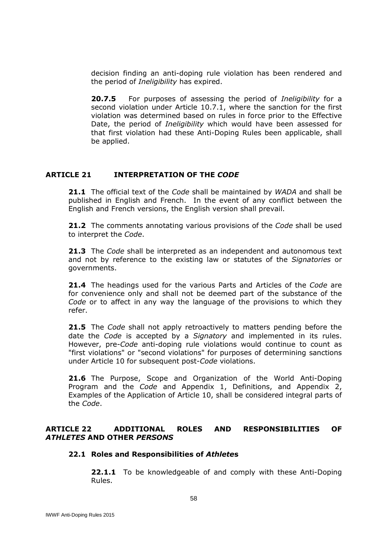decision finding an anti-doping rule violation has been rendered and the period of *Ineligibility* has expired.

**20.7.5** For purposes of assessing the period of *Ineligibility* for a second violation under Article 10.7.1, where the sanction for the first violation was determined based on rules in force prior to the Effective Date, the period of *Ineligibility* which would have been assessed for that first violation had these Anti-Doping Rules been applicable, shall be applied.

# **ARTICLE 21 INTERPRETATION OF THE** *CODE*

**21.1** The official text of the *Code* shall be maintained by *WADA* and shall be published in English and French. In the event of any conflict between the English and French versions, the English version shall prevail.

**21.2** The comments annotating various provisions of the *Code* shall be used to interpret the *Code*.

**21.3** The *Code* shall be interpreted as an independent and autonomous text and not by reference to the existing law or statutes of the *Signatories* or governments.

**21.4** The headings used for the various Parts and Articles of the *Code* are for convenience only and shall not be deemed part of the substance of the *Code* or to affect in any way the language of the provisions to which they refer.

**21.5** The *Code* shall not apply retroactively to matters pending before the date the *Code* is accepted by a *Signatory* and implemented in its rules. However, pre-*Code* anti-doping rule violations would continue to count as "first violations" or "second violations" for purposes of determining sanctions under Article 10 for subsequent post-*Code* violations.

**21.6** The Purpose, Scope and Organization of the World Anti-Doping Program and the *Code* and Appendix 1, Definitions, and Appendix 2, Examples of the Application of Article 10, shall be considered integral parts of the *Code*.

# **ARTICLE 22 ADDITIONAL ROLES AND RESPONSIBILITIES OF** *ATHLETES* **AND OTHER** *PERSONS*

#### **22.1 Roles and Responsibilities of** *Athlete***s**

**22.1.1** To be knowledgeable of and comply with these Anti-Doping Rules.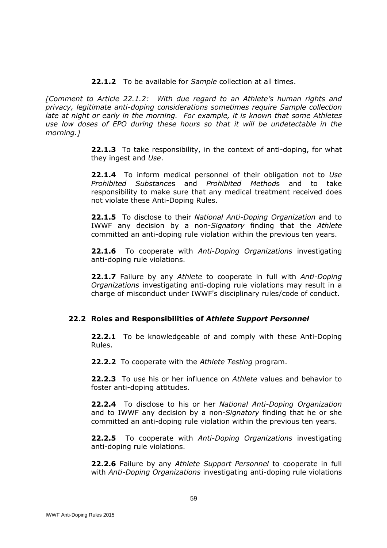**22.1.2** To be available for *Sample* collection at all times.

*[Comment to Article 22.1.2: With due regard to an Athlete's human rights and privacy, legitimate anti-doping considerations sometimes require Sample collection late at night or early in the morning. For example, it is known that some Athletes use low doses of EPO during these hours so that it will be undetectable in the morning.]* 

> **22.1.3** To take responsibility, in the context of anti-doping, for what they ingest and *Use*.

> **22.1.4** To inform medical personnel of their obligation not to *Use Prohibited Substance*s and *Prohibited Method*s and to take responsibility to make sure that any medical treatment received does not violate these Anti-Doping Rules.

> **22.1.5** To disclose to their *National Anti-Doping Organization* and to IWWF any decision by a non-*Signatory* finding that the *Athlete* committed an anti-doping rule violation within the previous ten years.

> **22.1.6** To cooperate with *Anti-Doping Organizations* investigating anti-doping rule violations.

> **22.1.7** Failure by any *Athlete* to cooperate in full with *Anti-Doping Organizations* investigating anti-doping rule violations may result in a charge of misconduct under IWWF's disciplinary rules/code of conduct.

# **22.2 Roles and Responsibilities of** *Athlete Support Personnel*

**22.2.1** To be knowledgeable of and comply with these Anti-Doping Rules.

**22.2.2** To cooperate with the *Athlete Testing* program.

**22.2.3** To use his or her influence on *Athlete* values and behavior to foster anti-doping attitudes.

**22.2.4** To disclose to his or her *National Anti-Doping Organization* and to IWWF any decision by a non-*Signatory* finding that he or she committed an anti-doping rule violation within the previous ten years.

**22.2.5** To cooperate with *Anti-Doping Organizations* investigating anti-doping rule violations.

**22.2.6** Failure by any *Athlete Support Personnel* to cooperate in full with *Anti-Doping Organizations* investigating anti-doping rule violations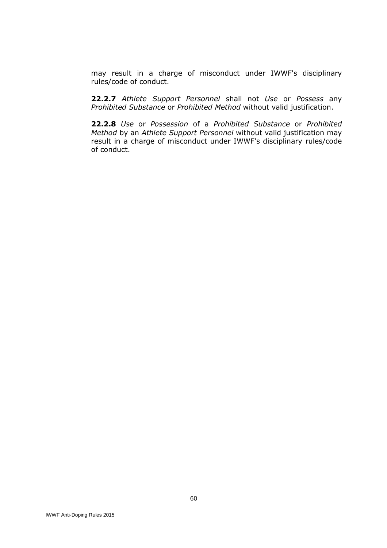may result in a charge of misconduct under IWWF's disciplinary rules/code of conduct.

**22.2.7** *Athlete Support Personnel* shall not *Use* or *Possess* any *Prohibited Substance* or *Prohibited Method* without valid justification.

**22.2.8** *Use* or *Possession* of a *Prohibited Substance* or *Prohibited Method* by an *Athlete Support Personnel* without valid justification may result in a charge of misconduct under IWWF's disciplinary rules/code of conduct.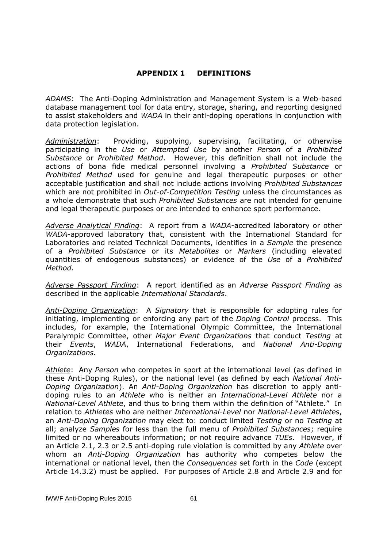# **APPENDIX 1 DEFINITIONS**

*ADAMS*:The Anti-Doping Administration and Management System is a Web-based database management tool for data entry, storage, sharing, and reporting designed to assist stakeholders and *WADA* in their anti-doping operations in conjunction with data protection legislation.

*Administration*: Providing, supplying, supervising, facilitating, or otherwise participating in the *Use* or *Attempted Use* by another *Person* of a *Prohibited Substance* or *Prohibited Method*. However, this definition shall not include the actions of bona fide medical personnel involving a *Prohibited Substance* or *Prohibited Method* used for genuine and legal therapeutic purposes or other acceptable justification and shall not include actions involving *Prohibited Substances* which are not prohibited in *Out-of-Competition Testing* unless the circumstances as a whole demonstrate that such *Prohibited Substances* are not intended for genuine and legal therapeutic purposes or are intended to enhance sport performance.

*Adverse Analytical Finding*: A report from a *WADA*-accredited laboratory or other *WADA*-approved laboratory that, consistent with the International Standard for Laboratories and related Technical Documents, identifies in a *Sample* the presence of a *Prohibited Substance* or its *Metabolites* or *Markers* (including elevated quantities of endogenous substances) or evidence of the *Use* of a *Prohibited Method*.

*Adverse Passport Finding*: A report identified as an *Adverse Passport Finding* as described in the applicable *International Standards*.

*Anti-Doping Organization*: A *Signatory* that is responsible for adopting rules for initiating, implementing or enforcing any part of the *Doping Control* process. This includes, for example, the International Olympic Committee, the International Paralympic Committee, other *Major Event Organizations* that conduct *Testing* at their *Events*, *WADA*, International Federations, and *National Anti-Doping Organizations.*

*Athlete*: Any *Person* who competes in sport at the international level (as defined in these Anti-Doping Rules), or the national level (as defined by each *National Anti-Doping Organization*). An *Anti-Doping Organization* has discretion to apply antidoping rules to an *Athlete* who is neither an *International-Level Athlete* nor a *National-Level Athlete*, and thus to bring them within the definition of "Athlete." In relation to *Athletes* who are neither *International*-*Level* nor *National-Level Athletes*, an *Anti-Doping Organization* may elect to: conduct limited *Testing* or no *Testing* at all; analyze *Samples* for less than the full menu of *Prohibited Substances*; require limited or no whereabouts information; or not require advance *TUEs*. However, if an Article 2.1, 2.3 or 2.5 anti-doping rule violation is committed by any *Athlete* over whom an *Anti-Doping Organization* has authority who competes below the international or national level, then the *Consequences* set forth in the *Code* (except Article 14.3.2) must be applied. For purposes of Article 2.8 and Article 2.9 and for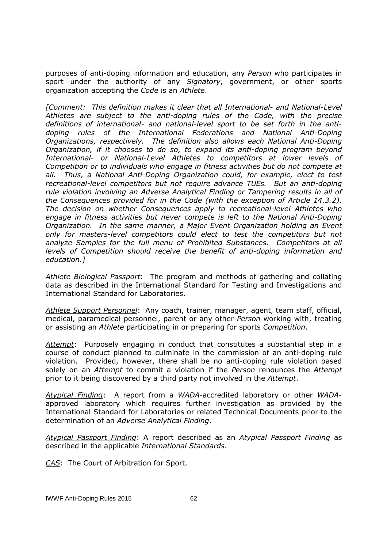purposes of anti-doping information and education, any *Person* who participates in sport under the authority of any *Signatory*, government, or other sports organization accepting the *Code* is an *Athlete*.

*[Comment: This definition makes it clear that all International- and National-Level Athletes are subject to the anti-doping rules of the Code, with the precise definitions of international- and national-level sport to be set forth in the antidoping rules of the International Federations and National Anti-Doping Organizations, respectively. The definition also allows each National Anti-Doping Organization, if it chooses to do so, to expand its anti-doping program beyond International- or National-Level Athletes to competitors at lower levels of Competition or to individuals who engage in fitness activities but do not compete at all. Thus, a National Anti-Doping Organization could, for example, elect to test recreational-level competitors but not require advance TUEs. But an anti-doping rule violation involving an Adverse Analytical Finding or Tampering results in all of the Consequences provided for in the Code (with the exception of Article 14.3.2). The decision on whether Consequences apply to recreational-level Athletes who engage in fitness activities but never compete is left to the National Anti-Doping Organization. In the same manner, a Major Event Organization holding an Event only for masters-level competitors could elect to test the competitors but not analyze Samples for the full menu of Prohibited Substances. Competitors at all levels of Competition should receive the benefit of anti-doping information and education.]* 

*Athlete Biological Passport*: The program and methods of gathering and collating data as described in the International Standard for Testing and Investigations and International Standard for Laboratories.

*Athlete Support Personnel*: Any coach, trainer, manager, agent, team staff, official, medical, paramedical personnel, parent or any other *Person* working with, treating or assisting an *Athlete* participating in or preparing for sports *Competition*.

*Attempt*: Purposely engaging in conduct that constitutes a substantial step in a course of conduct planned to culminate in the commission of an anti-doping rule violation. Provided, however, there shall be no anti-doping rule violation based solely on an *Attempt* to commit a violation if the *Person* renounces the *Attempt* prior to it being discovered by a third party not involved in the *Attempt*.

*Atypical Finding*: A report from a *WADA*-accredited laboratory or other *WADA*approved laboratory which requires further investigation as provided by the International Standard for Laboratories or related Technical Documents prior to the determination of an *Adverse Analytical Finding*.

*Atypical Passport Finding*: A report described as an *Atypical Passport Finding* as described in the applicable *International Standards*.

*CAS*: The Court of Arbitration for Sport.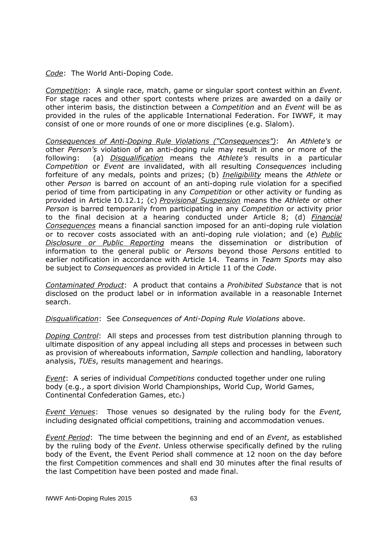*Code*: The World Anti-Doping Code.

*Competition*: A single race, match, game or singular sport contest within an *Event*. For stage races and other sport contests where prizes are awarded on a daily or other interim basis, the distinction between a *Competition* and an *Event* will be as provided in the rules of the applicable International Federation. For IWWF, it may consist of one or more rounds of one or more disciplines (e.g. Slalom).

*Consequences of Anti-Doping Rule Violations ("Consequences")*: An *Athlete's* or other *Person's* violation of an anti-doping rule may result in one or more of the following: (a) *Disqualification* means the *Athlete's* results in a particular *Competition* or *Event* are invalidated, with all resulting *Consequences* including forfeiture of any medals, points and prizes; (b) *Ineligibility* means the *Athlete* or other *Person* is barred on account of an anti-doping rule violation for a specified period of time from participating in any *Competition* or other activity or funding as provided in Article 10.12.1; (c) *Provisional Suspension* means the *Athlete* or other *Person* is barred temporarily from participating in any *Competition* or activity prior to the final decision at a hearing conducted under Article 8; (d) *Financial Consequences* means a financial sanction imposed for an anti-doping rule violation or to recover costs associated with an anti-doping rule violation; and (e) *Public Disclosure or Public Reporting* means the dissemination or distribution of information to the general public or *Persons* beyond those *Persons* entitled to earlier notification in accordance with Article 14. Teams in *Team Sports* may also be subject to *Consequences* as provided in Article 11 of the *Code*.

*Contaminated Product*:A product that contains a *Prohibited Substance* that is not disclosed on the product label or in information available in a reasonable Internet search.

*Disqualification*: See *Consequences of Anti-Doping Rule Violations* above.

*Doping Control*: All steps and processes from test distribution planning through to ultimate disposition of any appeal including all steps and processes in between such as provision of whereabouts information, *Sample* collection and handling, laboratory analysis, *TUEs*, results management and hearings.

*Event*: A series of individual *Competitions* conducted together under one ruling body (e.g., a sport division World Championships, World Cup, World Games, Continental Confederation Games, etc.)

*Event Venues*: Those venues so designated by the ruling body for the *Event,*  including designated official competitions, training and accommodation venues.

*Event Period*: The time between the beginning and end of an *Event*, as established by the ruling body of the *Event*. Unless otherwise specifically defined by the ruling body of the Event, the Event Period shall commence at 12 noon on the day before the first Competition commences and shall end 30 minutes after the final results of the last Competition have been posted and made final.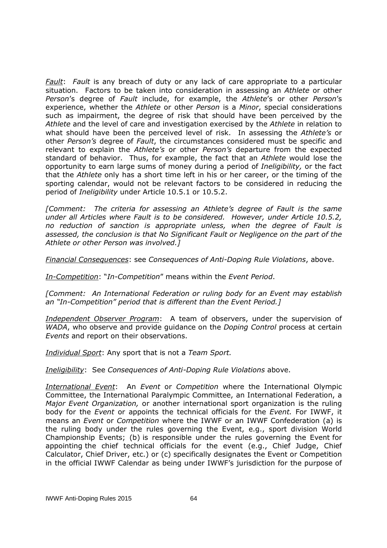*Fault*: *Fault* is any breach of duty or any lack of care appropriate to a particular situation. Factors to be taken into consideration in assessing an *Athlete* or other *Person*'s degree of *Fault* include, for example, the *Athlete*'s or other *Person*'s experience, whether the *Athlete* or other *Person* is a *Minor*, special considerations such as impairment, the degree of risk that should have been perceived by the *Athlete* and the level of care and investigation exercised by the *Athlete* in relation to what should have been the perceived level of risk. In assessing the *Athlete's* or other *Person's* degree of *Fault*, the circumstances considered must be specific and relevant to explain the *Athlete's* or other *Person's* departure from the expected standard of behavior. Thus, for example, the fact that an *Athlete* would lose the opportunity to earn large sums of money during a period of *Ineligibility,* or the fact that the *Athlete* only has a short time left in his or her career, or the timing of the sporting calendar, would not be relevant factors to be considered in reducing the period of *Ineligibility* under Article 10.5.1 or 10.5.2.

*[Comment: The criteria for assessing an Athlete's degree of Fault is the same under all Articles where Fault is to be considered. However, under Article 10.5.2, no reduction of sanction is appropriate unless, when the degree of Fault is assessed, the conclusion is that No Significant Fault or Negligence on the part of the Athlete or other Person was involved.]* 

*Financial Consequences*: see *Consequences of Anti-Doping Rule Violations*, above.

*In-Competition*: "*In-Competition*" means within the *Event Period*.

*[Comment: An International Federation or ruling body for an Event may establish an "In-Competition" period that is different than the Event Period.]* 

*Independent Observer Program*: A team of observers, under the supervision of *WADA*, who observe and provide guidance on the *Doping Control* process at certain *Events* and report on their observations.

*Individual Sport*: Any sport that is not a *Team Sport.* 

*Ineligibility*: See *Consequences of Anti-Doping Rule Violations* above.

*International Event*:An *Event* or *Competition* where the International Olympic Committee, the International Paralympic Committee, an International Federation, a *Major Event Organization,* or another international sport organization is the ruling body for the *Event* or appoints the technical officials for the *Event.* For IWWF, it means an *Event* or *Competition* where the IWWF or an IWWF Confederation (a) is the ruling body under the rules governing the Event, e.g., sport division World Championship Events; (b) is responsible under the rules governing the Event for appointing the chief technical officials for the event (e.g., Chief Judge, Chief Calculator, Chief Driver, etc.) or (c) specifically designates the Event or Competition in the official IWWF Calendar as being under IWWF's jurisdiction for the purpose of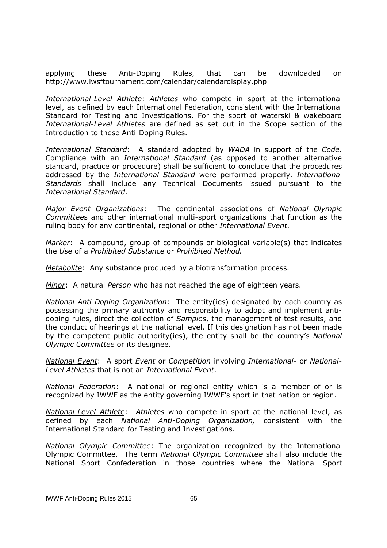applying these Anti-Doping Rules, that can be downloaded on http://www.iwsftournament.com/calendar/calendardisplay.php

*International-Level Athlete*: *Athletes* who compete in sport at the international level, as defined by each International Federation, consistent with the International Standard for Testing and Investigations. For the sport of waterski & wakeboard *International-Level Athletes* are defined as set out in the Scope section of the Introduction to these Anti-Doping Rules.

*International Standard*: A standard adopted by *WADA* in support of the *Code*. Compliance with an *International Standard* (as opposed to another alternative standard, practice or procedure) shall be sufficient to conclude that the procedures addressed by the *International Standard* were performed properly. *Internationa*l *Standards* shall include any Technical Documents issued pursuant to the *International Standard*.

*Major Event Organizations*: The continental associations of *National Olympic Committee*s and other international multi-sport organizations that function as the ruling body for any continental, regional or other *International Event*.

*Marker*: A compound, group of compounds or biological variable(s) that indicates the *Use* of a *Prohibited Substance* or *Prohibited Method.* 

*Metabolite*: Any substance produced by a biotransformation process.

*Minor*: A natural *Person* who has not reached the age of eighteen years.

*National Anti-Doping Organization*: The entity(ies) designated by each country as possessing the primary authority and responsibility to adopt and implement antidoping rules, direct the collection of *Samples*, the management of test results, and the conduct of hearings at the national level. If this designation has not been made by the competent public authority(ies), the entity shall be the country's *National Olympic Committee* or its designee.

*National Event*: A sport *Event* or *Competition* involving *International-* or *National-Level Athletes* that is not an *International Event*.

*National Federation*: A national or regional entity which is a member of or is recognized by IWWF as the entity governing IWWF's sport in that nation or region.

*National-Level Athlete*: *Athletes* who compete in sport at the national level, as defined by each *National Anti-Doping Organization,* consistent with the International Standard for Testing and Investigations.

*National Olympic Committee*: The organization recognized by the International Olympic Committee. The term *National Olympic Committee* shall also include the National Sport Confederation in those countries where the National Sport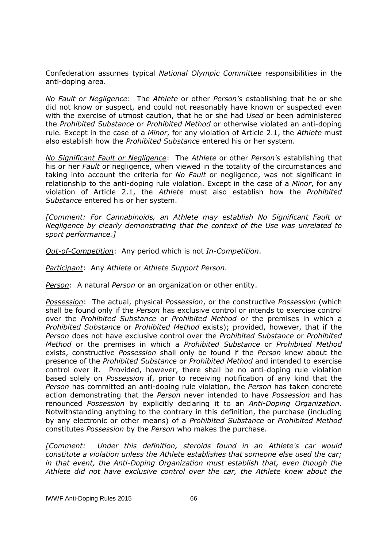Confederation assumes typical *National Olympic Committee* responsibilities in the anti-doping area.

*No Fault or Negligence*: The *Athlete* or other *Person's* establishing that he or she did not know or suspect, and could not reasonably have known or suspected even with the exercise of utmost caution, that he or she had *Used* or been administered the *Prohibited Substance* or *Prohibited Method* or otherwise violated an anti-doping rule*.* Except in the case of a *Minor*, for any violation of Article 2.1, the *Athlete* must also establish how the *Prohibited Substance* entered his or her system.

*No Significant Fault or Negligence*: The *Athlete* or other *Person's* establishing that his or her *Fault* or negligence, when viewed in the totality of the circumstances and taking into account the criteria for *No Fault* or negligence, was not significant in relationship to the anti-doping rule violation. Except in the case of a *Minor*, for any violation of Article 2.1, the *Athlete* must also establish how the *Prohibited Substance* entered his or her system.

*[Comment: For Cannabinoids, an Athlete may establish No Significant Fault or Negligence by clearly demonstrating that the context of the Use was unrelated to sport performance.]* 

*Out-of-Competition*: Any period which is not *In-Competition*.

*Participant*: Any *Athlete* or *Athlete Support Person*.

*Person*: A natural *Person* or an organization or other entity.

*Possession*: The actual, physical *Possession*, or the constructive *Possession* (which shall be found only if the *Person* has exclusive control or intends to exercise control over the *Prohibited Substance* or *Prohibited Method* or the premises in which a *Prohibited Substance* or *Prohibited Method* exists); provided, however, that if the *Person* does not have exclusive control over the *Prohibited Substance* or *Prohibited Method* or the premises in which a *Prohibited Substance* or *Prohibited Method* exists, constructive *Possession* shall only be found if the *Person* knew about the presence of the *Prohibited Substance* or *Prohibited Method* and intended to exercise control over it. Provided, however, there shall be no anti-doping rule violation based solely on *Possession* if, prior to receiving notification of any kind that the *Person* has committed an anti-doping rule violation, the *Person* has taken concrete action demonstrating that the *Person* never intended to have *Possession* and has renounced *Possession* by explicitly declaring it to an *Anti-Doping Organization*. Notwithstanding anything to the contrary in this definition, the purchase (including by any electronic or other means) of a *Prohibited Substance* or *Prohibited Method* constitutes *Possession* by the *Person* who makes the purchase.

*[Comment: Under this definition, steroids found in an Athlete's car would constitute a violation unless the Athlete establishes that someone else used the car; in that event, the Anti-Doping Organization must establish that, even though the Athlete did not have exclusive control over the car, the Athlete knew about the* 

IWWF Anti-Doping Rules 2015 66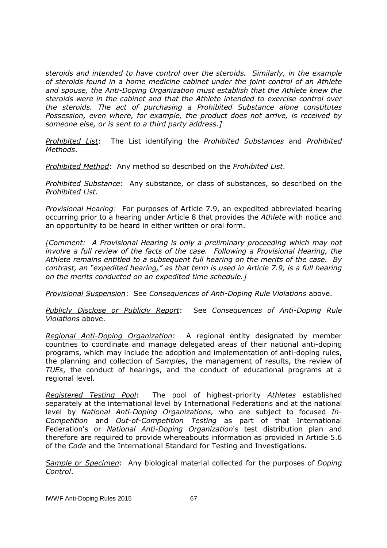*steroids and intended to have control over the steroids. Similarly, in the example of steroids found in a home medicine cabinet under the joint control of an Athlete and spouse, the Anti-Doping Organization must establish that the Athlete knew the steroids were in the cabinet and that the Athlete intended to exercise control over the steroids. The act of purchasing a Prohibited Substance alone constitutes Possession, even where, for example, the product does not arrive, is received by someone else, or is sent to a third party address.]*

*Prohibited List*: The List identifying the *Prohibited Substances* and *Prohibited Methods*.

*Prohibited Method*: Any method so described on the *Prohibited List*.

*Prohibited Substance*: Any substance, or class of substances, so described on the *Prohibited List*.

*Provisional Hearing*: For purposes of Article 7.9, an expedited abbreviated hearing occurring prior to a hearing under Article 8 that provides the *Athlete* with notice and an opportunity to be heard in either written or oral form.

*[Comment: A Provisional Hearing is only a preliminary proceeding which may not involve a full review of the facts of the case. Following a Provisional Hearing, the Athlete remains entitled to a subsequent full hearing on the merits of the case. By contrast, an "expedited hearing," as that term is used in Article 7.9, is a full hearing on the merits conducted on an expedited time schedule.]* 

*Provisional Suspension*: See *Consequences of Anti-Doping Rule Violations* above.

*Publicly Disclose or Publicly Report*: See *Consequences of Anti-Doping Rule Violations* above.

*Regional Anti-Doping Organization*:A regional entity designated by member countries to coordinate and manage delegated areas of their national anti-doping programs, which may include the adoption and implementation of anti-doping rules, the planning and collection of *Samples*, the management of results, the review of *TUEs*, the conduct of hearings, and the conduct of educational programs at a regional level.

*Registered Testing Pool*: The pool of highest-priority *Athletes* established separately at the international level by International Federations and at the national level by *National Anti-Doping Organizations,* who are subject to focused *In-Competition* and *Out-of-Competition Testing* as part of that International Federation's or *National Anti-Doping Organization*'s test distribution plan and therefore are required to provide whereabouts information as provided in Article 5.6 of the *Code* and the International Standard for Testing and Investigations.

*Sample* or *Specimen*: Any biological material collected for the purposes of *Doping Control*.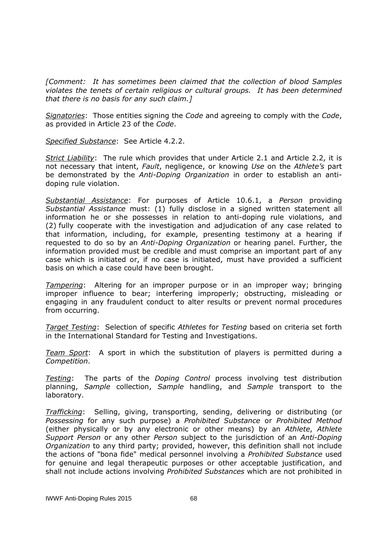*[Comment: It has sometimes been claimed that the collection of blood Samples violates the tenets of certain religious or cultural groups. It has been determined that there is no basis for any such claim.]* 

*Signatories*: Those entities signing the *Code* and agreeing to comply with the *Code*, as provided in Article 23 of the *Code*.

*Specified Substance*:See Article 4.2.2.

*Strict Liability*: The rule which provides that under Article 2.1 and Article 2.2, it is not necessary that intent, *Fault*, negligence, or knowing *Use* on the *Athlete's* part be demonstrated by the *Anti-Doping Organization* in order to establish an antidoping rule violation.

*Substantial Assistance*: For purposes of Article 10.6.1, a *Person* providing *Substantial Assistance* must: (1) fully disclose in a signed written statement all information he or she possesses in relation to anti-doping rule violations, and (2) fully cooperate with the investigation and adjudication of any case related to that information, including, for example, presenting testimony at a hearing if requested to do so by an *Anti-Doping Organization* or hearing panel. Further, the information provided must be credible and must comprise an important part of any case which is initiated or, if no case is initiated, must have provided a sufficient basis on which a case could have been brought.

*Tampering*:Altering for an improper purpose or in an improper way; bringing improper influence to bear; interfering improperly; obstructing, misleading or engaging in any fraudulent conduct to alter results or prevent normal procedures from occurring.

*Target Testing*: Selection of specific *Athletes* for *Testing* based on criteria set forth in the International Standard for Testing and Investigations.

*Team Sport*: A sport in which the substitution of players is permitted during a *Competition*.

*Testing*: The parts of the *Doping Control* process involving test distribution planning, *Sample* collection, *Sample* handling, and *Sample* transport to the laboratory.

*Trafficking*: Selling, giving, transporting, sending, delivering or distributing (or *Possessing* for any such purpose) a *Prohibited Substance* or *Prohibited Method* (either physically or by any electronic or other means) by an *Athlete*, *Athlete Support Person* or any other *Person* subject to the jurisdiction of an *Anti-Doping Organization* to any third party; provided, however, this definition shall not include the actions of "bona fide" medical personnel involving a *Prohibited Substance* used for genuine and legal therapeutic purposes or other acceptable justification, and shall not include actions involving *Prohibited Substances* which are not prohibited in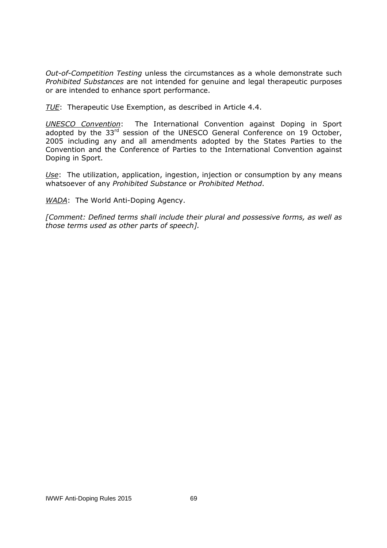*Out-of-Competition Testing* unless the circumstances as a whole demonstrate such *Prohibited Substances* are not intended for genuine and legal therapeutic purposes or are intended to enhance sport performance.

*TUE*:Therapeutic Use Exemption, as described in Article 4.4.

*UNESCO Convention*: The International Convention against Doping in Sport adopted by the 33<sup>rd</sup> session of the UNESCO General Conference on 19 October, 2005 including any and all amendments adopted by the States Parties to the Convention and the Conference of Parties to the International Convention against Doping in Sport.

*Use*: The utilization, application, ingestion, injection or consumption by any means whatsoever of any *Prohibited Substance* or *Prohibited Method*.

*WADA*: The World Anti-Doping Agency.

*[Comment: Defined terms shall include their plural and possessive forms, as well as those terms used as other parts of speech].*